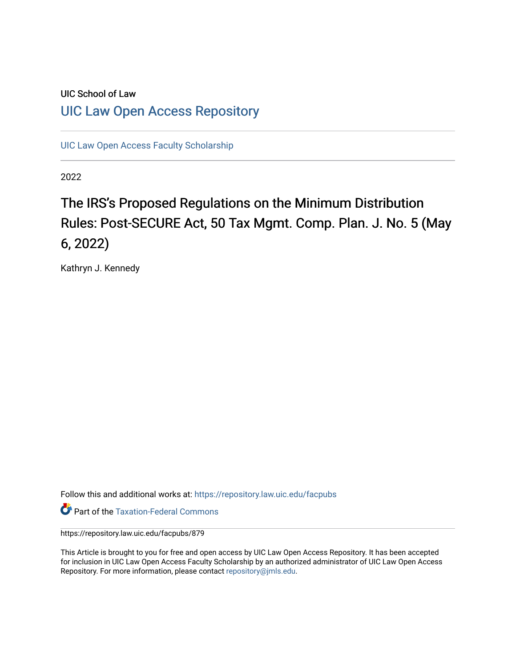# UIC School of Law [UIC Law Open Access Repository](https://repository.law.uic.edu/)

[UIC Law Open Access Faculty Scholarship](https://repository.law.uic.edu/facpubs)

2022

# The IRS's Proposed Regulations on the Minimum Distribution Rules: Post-SECURE Act, 50 Tax Mgmt. Comp. Plan. J. No. 5 (May 6, 2022)

Kathryn J. Kennedy

Follow this and additional works at: [https://repository.law.uic.edu/facpubs](https://repository.law.uic.edu/facpubs?utm_source=repository.law.uic.edu%2Ffacpubs%2F879&utm_medium=PDF&utm_campaign=PDFCoverPages) 

**Part of the [Taxation-Federal Commons](https://network.bepress.com/hgg/discipline/881?utm_source=repository.law.uic.edu%2Ffacpubs%2F879&utm_medium=PDF&utm_campaign=PDFCoverPages)** 

https://repository.law.uic.edu/facpubs/879

This Article is brought to you for free and open access by UIC Law Open Access Repository. It has been accepted for inclusion in UIC Law Open Access Faculty Scholarship by an authorized administrator of UIC Law Open Access Repository. For more information, please contact [repository@jmls.edu.](mailto:repository@jmls.edu)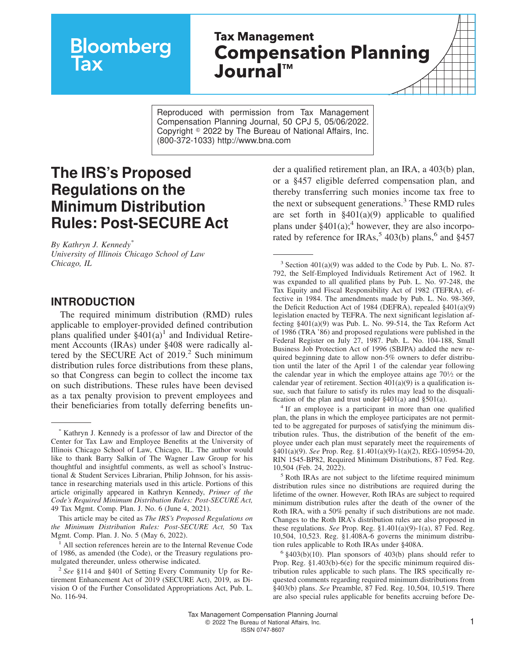# **Bloomberg**

# **Tax Management Compensation Planning JournalTM**

Reproduced with permission from Tax Management Compensation Planning Journal, 50 CPJ 5, 05/06/2022. Copyright  $\degree$  2022 by The Bureau of National Affairs, Inc. (800-372-1033) http://www.bna.com

# **The IRS's Proposed Regulations on the Minimum Distribution Rules: Post-SECURE Act**

*By Kathryn J. Kennedy\* University of Illinois Chicago School of Law Chicago, IL*

#### **INTRODUCTION**

The required minimum distribution (RMD) rules applicable to employer-provided defined contribution plans qualified under  $\S$ 401(a)<sup>1</sup> and Individual Retirement Accounts (IRAs) under §408 were radically altered by the SECURE Act of  $2019$ .<sup>2</sup> Such minimum distribution rules force distributions from these plans, so that Congress can begin to collect the income tax on such distributions. These rules have been devised as a tax penalty provision to prevent employees and their beneficiaries from totally deferring benefits un-

This article may be cited as *The IRS's Proposed Regulations on the Minimum Distribution Rules: Post-SECURE Act,* 50 Tax Mgmt. Comp. Plan. J. No. 5 (May 6, 2022).

<sup>1</sup> All section references herein are to the Internal Revenue Code of 1986, as amended (the Code), or the Treasury regulations promulgated thereunder, unless otherwise indicated.

der a qualified retirement plan, an IRA, a 403(b) plan, or a §457 eligible deferred compensation plan, and thereby transferring such monies income tax free to the next or subsequent generations.<sup>3</sup> These RMD rules are set forth in  $\S401(a)(9)$  applicable to qualified plans under  $§401(a);$ <sup>4</sup> however, they are also incorporated by reference for IRAs,<sup>5</sup> 403(b) plans,<sup>6</sup> and  $§$ 457

3 Section 401(a)(9) was added to the Code by Pub. L. No. 87- 792, the Self-Employed Individuals Retirement Act of 1962. It was expanded to all qualified plans by Pub. L. No. 97-248, the Tax Equity and Fiscal Responsibility Act of 1982 (TEFRA), effective in 1984. The amendments made by Pub. L. No. 98-369, the Deficit Reduction Act of 1984 (DEFRA), repealed §401(a)(9) legislation enacted by TEFRA. The next significant legislation affecting §401(a)(9) was Pub. L. No. 99-514, the Tax Reform Act of 1986 (TRA '86) and proposed regulations were published in the Federal Register on July 27, 1987. Pub. L. No. 104-188, Small Business Job Protection Act of 1996 (SBJPA) added the new required beginning date to allow non-5% owners to defer distribution until the later of the April 1 of the calendar year following the calendar year in which the employee attains age  $70\frac{1}{2}$  or the calendar year of retirement. Section  $401(a)(9)$  is a qualification issue, such that failure to satisfy its rules may lead to the disqualification of the plan and trust under §401(a) and §501(a).

<sup>4</sup> If an employee is a participant in more than one qualified plan, the plans in which the employee participates are not permitted to be aggregated for purposes of satisfying the minimum distribution rules. Thus, the distribution of the benefit of the employee under each plan must separately meet the requirements of §401(a)(9). *See* Prop. Reg. §1.401(a)(9)-1(a)(2), REG-105954-20, RIN 1545-BP82, Required Minimum Distributions, 87 Fed. Reg. 10,504 (Feb. 24, 2022).

<sup>5</sup> Roth IRAs are not subject to the lifetime required minimum distribution rules since no distributions are required during the lifetime of the owner. However, Roth IRAs are subject to required minimum distribution rules after the death of the owner of the Roth IRA, with a 50% penalty if such distributions are not made. Changes to the Roth IRA's distribution rules are also proposed in these regulations. *See* Prop. Reg. §1.401(a)(9)-1(a), 87 Fed. Reg. 10,504, 10,523. Reg. §1.408A-6 governs the minimum distribution rules applicable to Roth IRAs under §408A.

 $6$  §403(b)(10). Plan sponsors of 403(b) plans should refer to Prop. Reg. §1.403(b)-6(e) for the specific minimum required distribution rules applicable to such plans. The IRS specifically requested comments regarding required minimum distributions from §403(b) plans. *See* Preamble, 87 Fed. Reg. 10,504, 10,519. There are also special rules applicable for benefits accruing before De-

Kathryn J. Kennedy is a professor of law and Director of the Center for Tax Law and Employee Benefits at the University of Illinois Chicago School of Law, Chicago, IL. The author would like to thank Barry Salkin of The Wagner Law Group for his thoughtful and insightful comments, as well as school's Instructional & Student Services Librarian, Philip Johnson, for his assistance in researching materials used in this article. Portions of this article originally appeared in Kathryn Kennedy, *Primer of the Code's Required Minimum Distribution Rules: Post-SECURE Act,* 49 Tax Mgmt. Comp. Plan. J. No. 6 (June 4, 2021).

<sup>2</sup> *See* §114 and §401 of Setting Every Community Up for Retirement Enhancement Act of 2019 (SECURE Act), 2019, as Division O of the Further Consolidated Appropriations Act, Pub. L. No. 116-94.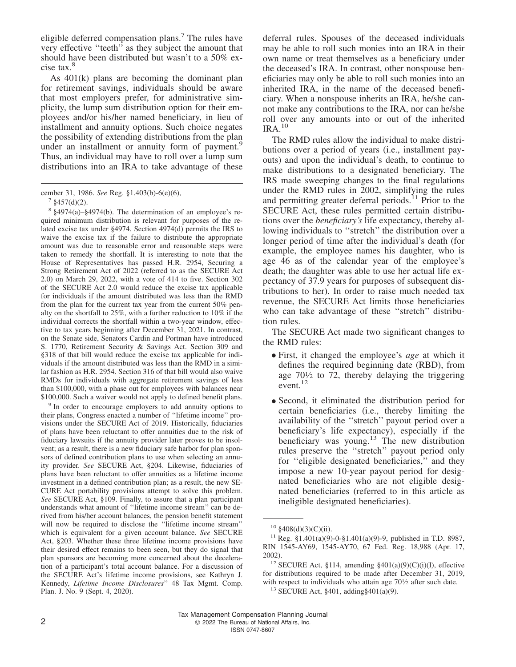eligible deferred compensation plans.<sup>7</sup> The rules have very effective ''teeth'' as they subject the amount that should have been distributed but wasn't to a 50% excise tax.<sup>8</sup>

As 401(k) plans are becoming the dominant plan for retirement savings, individuals should be aware that most employers prefer, for administrative simplicity, the lump sum distribution option for their employees and/or his/her named beneficiary, in lieu of installment and annuity options. Such choice negates the possibility of extending distributions from the plan under an installment or annuity form of payment.<sup>9</sup> Thus, an individual may have to roll over a lump sum distributions into an IRA to take advantage of these

 $7 \text{ } \frac{$457(\text{d})(2)}{6}$ .

8 §4974(a)–§4974(b). The determination of an employee's required minimum distribution is relevant for purposes of the related excise tax under §4974. Section 4974(d) permits the IRS to waive the excise tax if the failure to distribute the appropriate amount was due to reasonable error and reasonable steps were taken to remedy the shortfall. It is interesting to note that the House of Representatives has passed H.R. 2954, Securing a Strong Retirement Act of 2022 (referred to as the SECURE Act 2.0) on March 29, 2022, with a vote of 414 to five. Section 302 of the SECURE Act 2.0 would reduce the excise tax applicable for individuals if the amount distributed was less than the RMD from the plan for the current tax year from the current 50% penalty on the shortfall to 25%, with a further reduction to 10% if the individual corrects the shortfall within a two-year window, effective to tax years beginning after December 31, 2021. In contrast, on the Senate side, Senators Cardin and Portman have introduced S. 1770, Retirement Security & Savings Act. Section 309 and §318 of that bill would reduce the excise tax applicable for individuals if the amount distributed was less than the RMD in a similar fashion as H.R. 2954. Section 316 of that bill would also waive RMDs for individuals with aggregate retirement savings of less than \$100,000, with a phase out for employees with balances near \$100,000. Such a waiver would not apply to defined benefit plans.

<sup>9</sup> In order to encourage employers to add annuity options to their plans, Congress enacted a number of ''lifetime income'' provisions under the SECURE Act of 2019. Historically, fiduciaries of plans have been reluctant to offer annuities due to the risk of fiduciary lawsuits if the annuity provider later proves to be insolvent; as a result, there is a new fiduciary safe harbor for plan sponsors of defined contribution plans to use when selecting an annuity provider. *See* SECURE Act, §204. Likewise, fiduciaries of plans have been reluctant to offer annuities as a lifetime income investment in a defined contribution plan; as a result, the new SE-CURE Act portability provisions attempt to solve this problem. *See* SECURE Act, §109. Finally, to assure that a plan participant understands what amount of ''lifetime income stream'' can be derived from his/her account balances, the pension benefit statement will now be required to disclose the ''lifetime income stream'' which is equivalent for a given account balance. *See* SECURE Act, §203. Whether these three lifetime income provisions have their desired effect remains to been seen, but they do signal that plan sponsors are becoming more concerned about the deceleration of a participant's total account balance. For a discussion of the SECURE Act's lifetime income provisions, see Kathryn J. Kennedy, *Lifetime Income Disclosures*'' 48 Tax Mgmt. Comp. Plan. J. No. 9 (Sept. 4, 2020).

deferral rules. Spouses of the deceased individuals may be able to roll such monies into an IRA in their own name or treat themselves as a beneficiary under the deceased's IRA. In contrast, other nonspouse beneficiaries may only be able to roll such monies into an inherited IRA, in the name of the deceased beneficiary. When a nonspouse inherits an IRA, he/she cannot make any contributions to the IRA, nor can he/she roll over any amounts into or out of the inherited  $IRA.<sup>10</sup>$ 

The RMD rules allow the individual to make distributions over a period of years (i.e., installment payouts) and upon the individual's death, to continue to make distributions to a designated beneficiary. The IRS made sweeping changes to the final regulations under the RMD rules in 2002, simplifying the rules and permitting greater deferral periods.<sup>11</sup> Prior to the SECURE Act, these rules permitted certain distributions over the *beneficiary's* life expectancy, thereby allowing individuals to ''stretch'' the distribution over a longer period of time after the individual's death (for example, the employee names his daughter, who is age 46 as of the calendar year of the employee's death; the daughter was able to use her actual life expectancy of 37.9 years for purposes of subsequent distributions to her). In order to raise much needed tax revenue, the SECURE Act limits those beneficiaries who can take advantage of these ''stretch'' distribution rules.

The SECURE Act made two significant changes to the RMD rules:

- First, it changed the employee's *age* at which it defines the required beginning date (RBD), from age 70<sup>1</sup> ⁄<sup>2</sup> to 72, thereby delaying the triggering event. $12$
- Second, it eliminated the distribution period for certain beneficiaries (i.e., thereby limiting the availability of the ''stretch'' payout period over a beneficiary's life expectancy), especially if the beneficiary was young.<sup>13</sup> The new distribution rules preserve the ''stretch'' payout period only for ''eligible designated beneficiaries,'' and they impose a new 10-year payout period for designated beneficiaries who are not eligible designated beneficiaries (referred to in this article as ineligible designated beneficiaries).

cember 31, 1986. *See* Reg. §1.403(b)-6(e)(6),

 $10\$ §408(d)(3)(C)(ii).

<sup>&</sup>lt;sup>11</sup> Reg. §1.401(a)(9)-0-§1.401(a)(9)-9, published in T.D. 8987, RIN 1545-AY69, 1545-AY70, 67 Fed. Reg. 18,988 (Apr. 17, 2002).

<sup>&</sup>lt;sup>12</sup> SECURE Act, §114, amending §401(a)(9)(C)(i)(I), effective for distributions required to be made after December 31, 2019, with respect to individuals who attain age 70<sup>1</sup>/2 after such date.

<sup>&</sup>lt;sup>13</sup> SECURE Act, §401, adding§401(a)(9).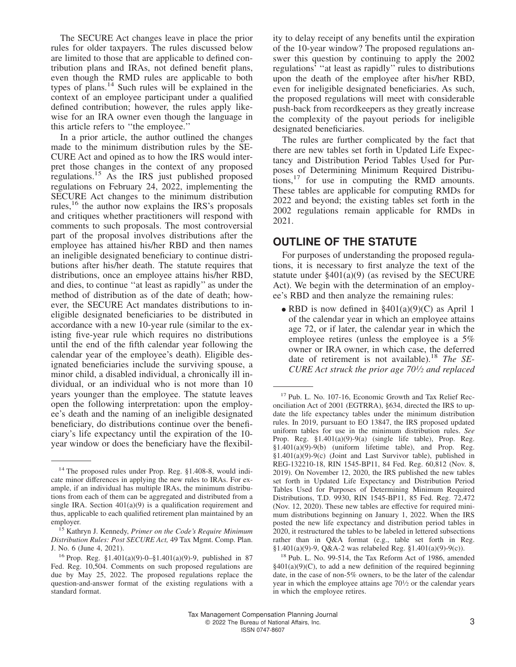The SECURE Act changes leave in place the prior rules for older taxpayers. The rules discussed below are limited to those that are applicable to defined contribution plans and IRAs, not defined benefit plans, even though the RMD rules are applicable to both types of plans.<sup>14</sup> Such rules will be explained in the context of an employee participant under a qualified defined contribution; however, the rules apply likewise for an IRA owner even though the language in this article refers to ''the employee.''

In a prior article, the author outlined the changes made to the minimum distribution rules by the SE-CURE Act and opined as to how the IRS would interpret those changes in the context of any proposed regulations.<sup>15</sup> As the IRS just published proposed regulations on February 24, 2022, implementing the SECURE Act changes to the minimum distribution rules, $^{16}$  the author now explains the IRS's proposals and critiques whether practitioners will respond with comments to such proposals. The most controversial part of the proposal involves distributions after the employee has attained his/her RBD and then names an ineligible designated beneficiary to continue distributions after his/her death. The statute requires that distributions, once an employee attains his/her RBD, and dies, to continue ''at least as rapidly'' as under the method of distribution as of the date of death; however, the SECURE Act mandates distributions to ineligible designated beneficiaries to be distributed in accordance with a new 10-year rule (similar to the existing five-year rule which requires no distributions until the end of the fifth calendar year following the calendar year of the employee's death). Eligible designated beneficiaries include the surviving spouse, a minor child, a disabled individual, a chronically ill individual, or an individual who is not more than 10 years younger than the employee. The statute leaves open the following interpretation: upon the employee's death and the naming of an ineligible designated beneficiary, do distributions continue over the beneficiary's life expectancy until the expiration of the 10 year window or does the beneficiary have the flexibil-

ity to delay receipt of any benefits until the expiration of the 10-year window? The proposed regulations answer this question by continuing to apply the 2002 regulations' ''at least as rapidly'' rules to distributions upon the death of the employee after his/her RBD, even for ineligible designated beneficiaries. As such, the proposed regulations will meet with considerable push-back from recordkeepers as they greatly increase the complexity of the payout periods for ineligible designated beneficiaries.

The rules are further complicated by the fact that there are new tables set forth in Updated Life Expectancy and Distribution Period Tables Used for Purposes of Determining Minimum Required Distributions, $^{17}$  for use in computing the RMD amounts. These tables are applicable for computing RMDs for 2022 and beyond; the existing tables set forth in the 2002 regulations remain applicable for RMDs in 2021.

## **OUTLINE OF THE STATUTE**

For purposes of understanding the proposed regulations, it is necessary to first analyze the text of the statute under  $\S 401(a)(9)$  (as revised by the SECURE Act). We begin with the determination of an employee's RBD and then analyze the remaining rules:

• RBD is now defined in  $\S 401(a)(9)(C)$  as April 1 of the calendar year in which an employee attains age 72, or if later, the calendar year in which the employee retires (unless the employee is a 5% owner or IRA owner, in which case, the deferred date of retirement is not available).<sup>18</sup> *The SE-CURE Act struck the prior age 70<sup>1</sup> ⁄<sup>2</sup> and replaced*

<sup>&</sup>lt;sup>14</sup> The proposed rules under Prop. Reg. §1.408-8, would indicate minor differences in applying the new rules to IRAs. For example, if an individual has multiple IRAs, the minimum distributions from each of them can be aggregated and distributed from a single IRA. Section 401(a)(9) is a qualification requirement and thus, applicable to each qualified retirement plan maintained by an employer.

<sup>15</sup> Kathryn J. Kennedy, *Primer on the Code's Require Minimum Distribution Rules: Post SECURE Act,* 49 Tax Mgmt. Comp. Plan. J. No. 6 (June 4, 2021).

<sup>&</sup>lt;sup>16</sup> Prop. Reg. §1.401(a)(9)-0–§1.401(a)(9)-9, published in 87 Fed. Reg. 10,504. Comments on such proposed regulations are due by May 25, 2022. The proposed regulations replace the question-and-answer format of the existing regulations with a standard format.

<sup>17</sup> Pub. L. No. 107-16, Economic Growth and Tax Relief Reconciliation Act of 2001 (EGTRRA), §634, directed the IRS to update the life expectancy tables under the minimum distribution rules. In 2019, pursuant to EO 13847, the IRS proposed updated uniform tables for use in the minimum distribution rules. *See* Prop. Reg. §1.401(a)(9)-9(a) (single life table), Prop. Reg. §1.401(a)(9)-9(b) (uniform lifetime table), and Prop. Reg. §1.401(a)(9)-9(c) (Joint and Last Survivor table), published in REG-132210-18, RIN 1545-BP11, 84 Fed. Reg. 60,812 (Nov. 8, 2019). On November 12, 2020, the IRS published the new tables set forth in Updated Life Expectancy and Distribution Period Tables Used for Purposes of Determining Minimum Required Distributions, T.D. 9930, RIN 1545-BP11, 85 Fed. Reg. 72,472 (Nov. 12, 2020). These new tables are effective for required minimum distributions beginning on January 1, 2022. When the IRS posted the new life expectancy and distribution period tables in 2020, it restructured the tables to be labeled in lettered subsections rather than in Q&A format (e.g., table set forth in Reg. §1.401(a)(9)-9, Q&A-2 was relabeled Reg. §1.401(a)(9)-9(c)).

<sup>18</sup> Pub. L. No. 99-514, the Tax Reform Act of 1986, amended  $§401(a)(9)(C)$ , to add a new definition of the required beginning date, in the case of non-5% owners, to be the later of the calendar year in which the employee attains age 70<sup>1</sup> ⁄<sup>2</sup> or the calendar years in which the employee retires.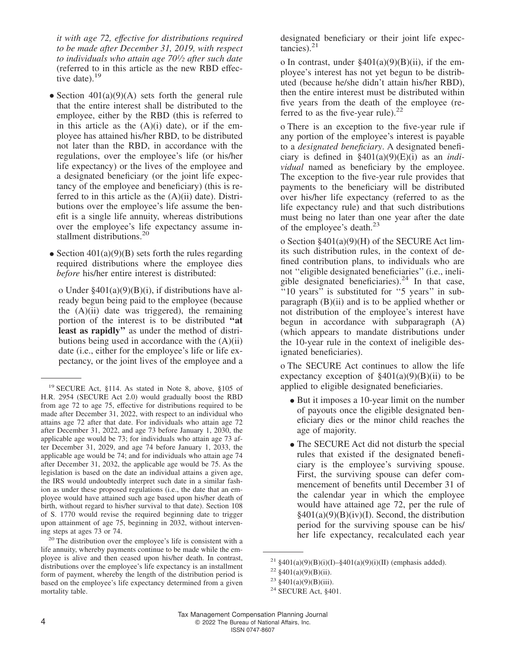*it with age 72, effective for distributions required to be made after December 31, 2019, with respect to individuals who attain age 70<sup>1</sup> ⁄<sup>2</sup> after such date* (referred to in this article as the new RBD effective date). $19$ 

- Section  $401(a)(9)(A)$  sets forth the general rule that the entire interest shall be distributed to the employee, either by the RBD (this is referred to in this article as the  $(A)(i)$  date), or if the employee has attained his/her RBD, to be distributed not later than the RBD, in accordance with the regulations, over the employee's life (or his/her life expectancy) or the lives of the employee and a designated beneficiary (or the joint life expectancy of the employee and beneficiary) (this is referred to in this article as the  $(A)(ii)$  date). Distributions over the employee's life assume the benefit is a single life annuity, whereas distributions over the employee's life expectancy assume installment distributions.<sup>20</sup>
- Section  $401(a)(9)(B)$  sets forth the rules regarding required distributions where the employee dies *before* his/her entire interest is distributed:

o Under  $\frac{2401(a)(9)(B)(i)}{i}$ , if distributions have already begun being paid to the employee (because the (A)(ii) date was triggered), the remaining portion of the interest is to be distributed **''at least as rapidly''** as under the method of distributions being used in accordance with the  $(A)(ii)$ date (i.e., either for the employee's life or life expectancy, or the joint lives of the employee and a

designated beneficiary or their joint life expectancies).<sup>21</sup>

o In contrast, under  $\S 401(a)(9)(B)(ii)$ , if the employee's interest has not yet begun to be distributed (because he/she didn't attain his/her RBD), then the entire interest must be distributed within five years from the death of the employee (referred to as the five-year rule). $^{22}$ 

o There is an exception to the five-year rule if any portion of the employee's interest is payable to a *designated beneficiary*. A designated beneficiary is defined in  $\frac{2401(a)(9)(E)(i)}{2}$  as an *individual* named as beneficiary by the employee. The exception to the five-year rule provides that payments to the beneficiary will be distributed over his/her life expectancy (referred to as the life expectancy rule) and that such distributions must being no later than one year after the date of the employee's death.<sup>23</sup>

o Section §401(a)(9)(H) of the SECURE Act limits such distribution rules, in the context of defined contribution plans, to individuals who are not ''eligible designated beneficiaries'' (i.e., ineligible designated beneficiaries). $24$  In that case, "10 years" is substituted for "5 years" in subparagraph  $(B)(ii)$  and is to be applied whether or not distribution of the employee's interest have begun in accordance with subparagraph (A) (which appears to mandate distributions under the 10-year rule in the context of ineligible designated beneficiaries).

o The SECURE Act continues to allow the life expectancy exception of  $\frac{2401(a)(9)(B)(ii)}{b}$  to be applied to eligible designated beneficiaries.

- But it imposes a 10-year limit on the number of payouts once the eligible designated beneficiary dies or the minor child reaches the age of majority.
- The SECURE Act did not disturb the special rules that existed if the designated beneficiary is the employee's surviving spouse. First, the surviving spouse can defer commencement of benefits until December 31 of the calendar year in which the employee would have attained age 72, per the rule of  $§401(a)(9)(B)(iv)(I)$ . Second, the distribution period for the surviving spouse can be his/ her life expectancy, recalculated each year

<sup>19</sup> SECURE Act, §114. As stated in Note 8, above, §105 of H.R. 2954 (SECURE Act 2.0) would gradually boost the RBD from age 72 to age 75, effective for distributions required to be made after December 31, 2022, with respect to an individual who attains age 72 after that date. For individuals who attain age 72 after December 31, 2022, and age 73 before January 1, 2030, the applicable age would be 73; for individuals who attain age 73 after December 31, 2029, and age 74 before January 1, 2033, the applicable age would be 74; and for individuals who attain age 74 after December 31, 2032, the applicable age would be 75. As the legislation is based on the date an individual attains a given age, the IRS would undoubtedly interpret such date in a similar fashion as under these proposed regulations (i.e., the date that an employee would have attained such age based upon his/her death of birth, without regard to his/her survival to that date). Section 108 of S. 1770 would revise the required beginning date to trigger upon attainment of age 75, beginning in 2032, without intervening steps at ages 73 or 74.

<sup>20</sup> The distribution over the employee's life is consistent with a life annuity, whereby payments continue to be made while the employee is alive and then ceased upon his/her death. In contrast, distributions over the employee's life expectancy is an installment form of payment, whereby the length of the distribution period is based on the employee's life expectancy determined from a given mortality table.

<sup>&</sup>lt;sup>21</sup> §401(a)(9)(B)(i)(I)–§401(a)(9)(i)(II) (emphasis added).

<sup>&</sup>lt;sup>22</sup>  $§401(a)(9)(B)(ii)$ .

<sup>&</sup>lt;sup>23</sup> §401(a)(9)(B)(iii).

<sup>24</sup> SECURE Act, §401.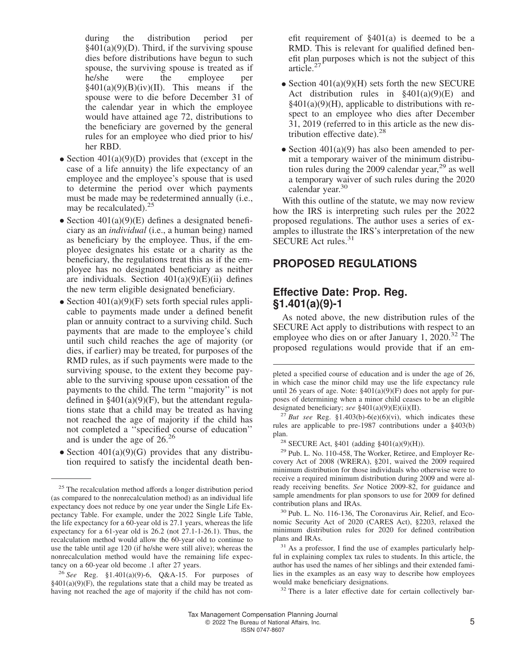during the distribution period per  $§401(a)(9)(D)$ . Third, if the surviving spouse dies before distributions have begun to such spouse, the surviving spouse is treated as if he/she were the employee per  $§401(a)(9)(B)(iv)(II)$ . This means if the spouse were to die before December 31 of the calendar year in which the employee would have attained age 72, distributions to the beneficiary are governed by the general rules for an employee who died prior to his/ her RBD.

- Section  $401(a)(9)(D)$  provides that (except in the case of a life annuity) the life expectancy of an employee and the employee's spouse that is used to determine the period over which payments must be made may be redetermined annually (i.e., may be recalculated). $25$
- Section  $401(a)(9)(E)$  defines a designated beneficiary as an *individual* (i.e., a human being) named as beneficiary by the employee. Thus, if the employee designates his estate or a charity as the beneficiary, the regulations treat this as if the employee has no designated beneficiary as neither are individuals. Section  $401(a)(9)(E)(ii)$  defines the new term eligible designated beneficiary.
- Section  $401(a)(9)(F)$  sets forth special rules applicable to payments made under a defined benefit plan or annuity contract to a surviving child. Such payments that are made to the employee's child until such child reaches the age of majority (or dies, if earlier) may be treated, for purposes of the RMD rules, as if such payments were made to the surviving spouse, to the extent they become payable to the surviving spouse upon cessation of the payments to the child. The term ''majority'' is not defined in  $\S401(a)(9)(F)$ , but the attendant regulations state that a child may be treated as having not reached the age of majority if the child has not completed a ''specified course of education'' and is under the age of 26.<sup>26</sup>
- Section  $401(a)(9)(G)$  provides that any distribution required to satisfy the incidental death ben-

efit requirement of §401(a) is deemed to be a RMD. This is relevant for qualified defined benefit plan purposes which is not the subject of this article.<sup>27</sup>

- Section  $401(a)(9)$ (H) sets forth the new SECURE Act distribution rules in  $\S 401(a)(9)(E)$  and  $§401(a)(9)$ (H), applicable to distributions with respect to an employee who dies after December 31, 2019 (referred to in this article as the new distribution effective date). $28$
- Section  $401(a)(9)$  has also been amended to permit a temporary waiver of the minimum distribution rules during the 2009 calendar year, $^{29}$  as well a temporary waiver of such rules during the 2020 calendar year.<sup>30</sup>

With this outline of the statute, we may now review how the IRS is interpreting such rules per the 2022 proposed regulations. The author uses a series of examples to illustrate the IRS's interpretation of the new SECURE Act rules.<sup>31</sup>

## **PROPOSED REGULATIONS**

## **Effective Date: Prop. Reg. §1.401(a)(9)-1**

As noted above, the new distribution rules of the SECURE Act apply to distributions with respect to an employee who dies on or after January 1,  $2020^{32}$  The proposed regulations would provide that if an em-

<sup>28</sup> SECURE Act, §401 (adding §401(a)(9)(H)).

<sup>29</sup> Pub. L. No. 110-458, The Worker, Retiree, and Employer Recovery Act of 2008 (WRERA), §201, waived the 2009 required minimum distribution for those individuals who otherwise were to receive a required minimum distribution during 2009 and were already receiving benefits. *See* Notice 2009-82, for guidance and sample amendments for plan sponsors to use for 2009 for defined contribution plans and IRAs.

<sup>30</sup> Pub. L. No. 116-136, The Coronavirus Air, Relief, and Economic Security Act of 2020 (CARES Act), §2203, relaxed the minimum distribution rules for 2020 for defined contribution plans and IRAs.

<sup>32</sup> There is a later effective date for certain collectively bar-

<sup>&</sup>lt;sup>25</sup> The recalculation method affords a longer distribution period (as compared to the nonrecalculation method) as an individual life expectancy does not reduce by one year under the Single Life Expectancy Table. For example, under the 2022 Single Life Table, the life expectancy for a 60-year old is 27.1 years, whereas the life expectancy for a 61-year old is 26.2 (not 27.1-1-26.1). Thus, the recalculation method would allow the 60-year old to continue to use the table until age 120 (if he/she were still alive); whereas the nonrecalculation method would have the remaining life expectancy on a 60-year old become .1 after 27 years.

<sup>26</sup> *See* Reg. §1.401(a)(9)-6, Q&A-15. For purposes of  $§401(a)(9)(F)$ , the regulations state that a child may be treated as having not reached the age of majority if the child has not com-

pleted a specified course of education and is under the age of 26, in which case the minor child may use the life expectancy rule until 26 years of age. Note:  $\S 401(a)(9)(F)$  does not apply for purposes of determining when a minor child ceases to be an eligible designated beneficiary; *see* §401(a)(9)(E)(ii)(II).

<sup>&</sup>lt;sup>27</sup> *But see* Reg. §1.403(b)-6(e)(6)(vi), which indicates these rules are applicable to pre-1987 contributions under a §403(b) plan.

<sup>&</sup>lt;sup>31</sup> As a professor, I find the use of examples particularly helpful in explaining complex tax rules to students. In this article, the author has used the names of her siblings and their extended families in the examples as an easy way to describe how employees would make beneficiary designations.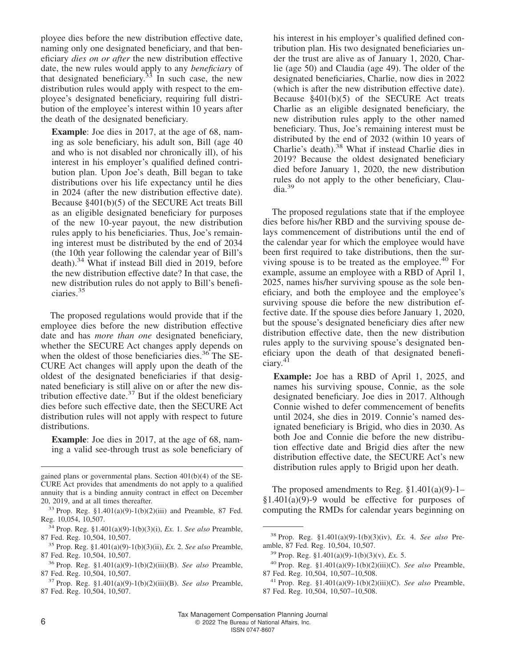ployee dies before the new distribution effective date, naming only one designated beneficiary, and that beneficiary *dies on or after* the new distribution effective date, the new rules would apply to any *beneficiary* of that designated beneficiary.<sup>33</sup> In such case, the new distribution rules would apply with respect to the employee's designated beneficiary, requiring full distribution of the employee's interest within 10 years after the death of the designated beneficiary.

**Example**: Joe dies in 2017, at the age of 68, naming as sole beneficiary, his adult son, Bill (age 40 and who is not disabled nor chronically ill), of his interest in his employer's qualified defined contribution plan. Upon Joe's death, Bill began to take distributions over his life expectancy until he dies in 2024 (after the new distribution effective date). Because §401(b)(5) of the SECURE Act treats Bill as an eligible designated beneficiary for purposes of the new 10-year payout, the new distribution rules apply to his beneficiaries. Thus, Joe's remaining interest must be distributed by the end of 2034 (the 10th year following the calendar year of Bill's death).<sup>34</sup> What if instead Bill died in 2019, before the new distribution effective date? In that case, the new distribution rules do not apply to Bill's beneficiaries.<sup>35</sup>

The proposed regulations would provide that if the employee dies before the new distribution effective date and has *more than one* designated beneficiary, whether the SECURE Act changes apply depends on when the oldest of those beneficiaries dies. $36$  The SE-CURE Act changes will apply upon the death of the oldest of the designated beneficiaries if that designated beneficiary is still alive on or after the new distribution effective date. $37$  But if the oldest beneficiary dies before such effective date, then the SECURE Act distribution rules will not apply with respect to future distributions.

**Example**: Joe dies in 2017, at the age of 68, naming a valid see-through trust as sole beneficiary of his interest in his employer's qualified defined contribution plan. His two designated beneficiaries under the trust are alive as of January 1, 2020, Charlie (age 50) and Claudia (age 49). The older of the designated beneficiaries, Charlie, now dies in 2022 (which is after the new distribution effective date). Because §401(b)(5) of the SECURE Act treats Charlie as an eligible designated beneficiary, the new distribution rules apply to the other named beneficiary. Thus, Joe's remaining interest must be distributed by the end of 2032 (within 10 years of Charlie's death).<sup>38</sup> What if instead Charlie dies in 2019? Because the oldest designated beneficiary died before January 1, 2020, the new distribution rules do not apply to the other beneficiary, Claudia.<sup>39</sup>

The proposed regulations state that if the employee dies before his/her RBD and the surviving spouse delays commencement of distributions until the end of the calendar year for which the employee would have been first required to take distributions, then the surviving spouse is to be treated as the employee.<sup>40</sup> For example, assume an employee with a RBD of April 1, 2025, names his/her surviving spouse as the sole beneficiary, and both the employee and the employee's surviving spouse die before the new distribution effective date. If the spouse dies before January 1, 2020, but the spouse's designated beneficiary dies after new distribution effective date, then the new distribution rules apply to the surviving spouse's designated beneficiary upon the death of that designated beneficiary.<sup>41</sup>

**Example:** Joe has a RBD of April 1, 2025, and names his surviving spouse, Connie, as the sole designated beneficiary. Joe dies in 2017. Although Connie wished to defer commencement of benefits until 2024, she dies in 2019. Connie's named designated beneficiary is Brigid, who dies in 2030. As both Joe and Connie die before the new distribution effective date and Brigid dies after the new distribution effective date, the SECURE Act's new distribution rules apply to Brigid upon her death.

The proposed amendments to Reg.  $\S1.401(a)(9)-1 §1.401(a)(9)-9$  would be effective for purposes of computing the RMDs for calendar years beginning on

gained plans or governmental plans. Section 401(b)(4) of the SE-CURE Act provides that amendments do not apply to a qualified annuity that is a binding annuity contract in effect on December 20, 2019, and at all times thereafter.

<sup>&</sup>lt;sup>33</sup> Prop. Reg.  $\S 1.401(a)(9) - 1(b)(2)(iii)$  and Preamble, 87 Fed. Reg. 10,054, 10,507.

<sup>34</sup> Prop. Reg. §1.401(a)(9)-1(b)(3)(i), *Ex.* 1. *See also* Preamble, 87 Fed. Reg. 10,504, 10,507.

<sup>35</sup> Prop. Reg. §1.401(a)(9)-1(b)(3)(ii), *Ex.* 2. *See also* Preamble, 87 Fed. Reg. 10,504, 10,507.

<sup>36</sup> Prop. Reg. §1.401(a)(9)-1(b)(2)(iii)(B). *See also* Preamble, 87 Fed. Reg. 10,504, 10,507.

<sup>37</sup> Prop. Reg. §1.401(a)(9)-1(b)(2)(iii)(B). *See also* Preamble, 87 Fed. Reg. 10,504, 10,507.

<sup>38</sup> Prop. Reg. §1.401(a)(9)-1(b)(3)(iv), *Ex.* 4. *See also* Preamble, 87 Fed. Reg. 10,504, 10,507.

<sup>39</sup> Prop. Reg. §1.401(a)(9)-1(b)(3)(v), *Ex.* 5.

<sup>40</sup> Prop. Reg. §1.401(a)(9)-1(b)(2)(iii)(C). *See also* Preamble, 87 Fed. Reg. 10,504, 10,507–10,508.

<sup>41</sup> Prop. Reg. §1.401(a)(9)-1(b)(2)(iii)(C). *See also* Preamble, 87 Fed. Reg. 10,504, 10,507–10,508.

Tax Management Compensation Planning Journal 6 **6 2022** The Bureau of National Affairs, Inc.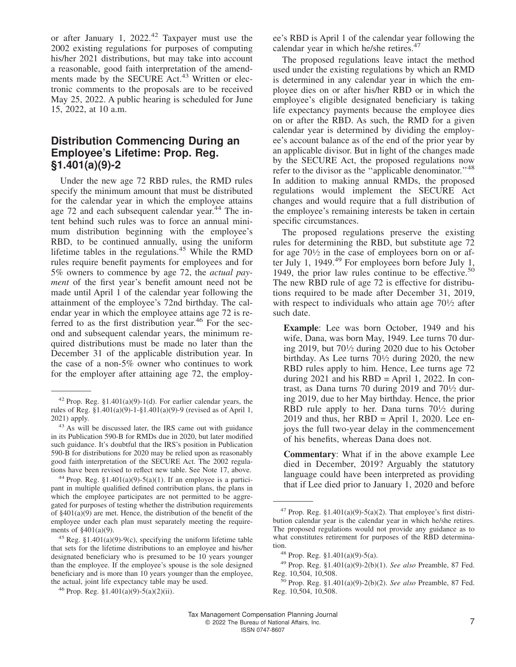or after January 1, 2022.<sup>42</sup> Taxpayer must use the 2002 existing regulations for purposes of computing his/her 2021 distributions, but may take into account a reasonable, good faith interpretation of the amendments made by the SECURE Act.<sup>43</sup> Written or electronic comments to the proposals are to be received May 25, 2022. A public hearing is scheduled for June 15, 2022, at 10 a.m.

#### **Distribution Commencing During an Employee's Lifetime: Prop. Reg. §1.401(a)(9)-2**

Under the new age 72 RBD rules, the RMD rules specify the minimum amount that must be distributed for the calendar year in which the employee attains age 72 and each subsequent calendar year.<sup>44</sup> The intent behind such rules was to force an annual minimum distribution beginning with the employee's RBD, to be continued annually, using the uniform lifetime tables in the regulations.<sup>45</sup> While the RMD rules require benefit payments for employees and for 5% owners to commence by age 72, the *actual payment* of the first year's benefit amount need not be made until April 1 of the calendar year following the attainment of the employee's 72nd birthday. The calendar year in which the employee attains age 72 is referred to as the first distribution year.<sup>46</sup> For the second and subsequent calendar years, the minimum required distributions must be made no later than the December 31 of the applicable distribution year. In the case of a non-5% owner who continues to work for the employer after attaining age 72, the employ-

<sup>44</sup> Prop. Reg. §1.401(a)(9)-5(a)(1). If an employee is a participant in multiple qualified defined contribution plans, the plans in which the employee participates are not permitted to be aggregated for purposes of testing whether the distribution requirements of §401(a)(9) are met. Hence, the distribution of the benefit of the employee under each plan must separately meeting the requirements of §401(a)(9).

ee's RBD is April 1 of the calendar year following the calendar year in which he/she retires.<sup>47</sup>

The proposed regulations leave intact the method used under the existing regulations by which an RMD is determined in any calendar year in which the employee dies on or after his/her RBD or in which the employee's eligible designated beneficiary is taking life expectancy payments because the employee dies on or after the RBD. As such, the RMD for a given calendar year is determined by dividing the employee's account balance as of the end of the prior year by an applicable divisor. But in light of the changes made by the SECURE Act, the proposed regulations now refer to the divisor as the "applicable denominator."<sup>48</sup> In addition to making annual RMDs, the proposed regulations would implement the SECURE Act changes and would require that a full distribution of the employee's remaining interests be taken in certain specific circumstances.

The proposed regulations preserve the existing rules for determining the RBD, but substitute age 72 for age  $70\frac{1}{2}$  in the case of employees born on or after July 1, 1949. $49$  For employees born before July 1, 1949, the prior law rules continue to be effective. $\frac{5}{3}$ The new RBD rule of age 72 is effective for distributions required to be made after December 31, 2019, with respect to individuals who attain age  $70\frac{1}{2}$  after such date.

**Example**: Lee was born October, 1949 and his wife, Dana, was born May, 1949. Lee turns 70 during 2019, but 70<sup>1</sup> ⁄<sup>2</sup> during 2020 due to his October birthday. As Lee turns 70<sup>1</sup> ⁄<sup>2</sup> during 2020, the new RBD rules apply to him. Hence, Lee turns age 72 during  $2021$  and his RBD = April 1, 2022. In contrast, as Dana turns 70 during 2019 and  $70\frac{1}{2}$  during 2019, due to her May birthday. Hence, the prior RBD rule apply to her. Dana turns  $70\frac{1}{2}$  during  $2019$  and thus, her RBD = April 1, 2020. Lee enjoys the full two-year delay in the commencement of his benefits, whereas Dana does not.

**Commentary**: What if in the above example Lee died in December, 2019? Arguably the statutory language could have been interpreted as providing that if Lee died prior to January 1, 2020 and before

 $42$  Prop. Reg. §1.401(a)(9)-1(d). For earlier calendar years, the rules of Reg. §1.401(a)(9)-1-§1.401(a)(9)-9 (revised as of April 1, 2021) apply.

<sup>&</sup>lt;sup>43</sup> As will be discussed later, the IRS came out with guidance in its Publication 590-B for RMDs due in 2020, but later modified such guidance. It's doubtful that the IRS's position in Publication 590-B for distributions for 2020 may be relied upon as reasonably good faith interpretation of the SECURE Act. The 2002 regulations have been revised to reflect new table. See Note 17, above.

<sup>&</sup>lt;sup>45</sup> Reg. §1.401(a)(9)-9(c), specifying the uniform lifetime table that sets for the lifetime distributions to an employee and his/her designated beneficiary who is presumed to be 10 years younger than the employee. If the employee's spouse is the sole designed beneficiary and is more than 10 years younger than the employee, the actual, joint life expectancy table may be used.

 $46$  Prop. Reg.  $$1,401(a)(9) - 5(a)(2)(ii)$ .

<sup>&</sup>lt;sup>47</sup> Prop. Reg. §1.401(a)(9)-5(a)(2). That employee's first distribution calendar year is the calendar year in which he/she retires. The proposed regulations would not provide any guidance as to what constitutes retirement for purposes of the RBD determination.

<sup>48</sup> Prop. Reg. §1.401(a)(9)-5(a).

<sup>49</sup> Prop. Reg. §1.401(a)(9)-2(b)(1). *See also* Preamble, 87 Fed. Reg. 10,504, 10,508.

<sup>50</sup> Prop. Reg. §1.401(a)(9)-2(b)(2). *See also* Preamble, 87 Fed. Reg. 10,504, 10,508.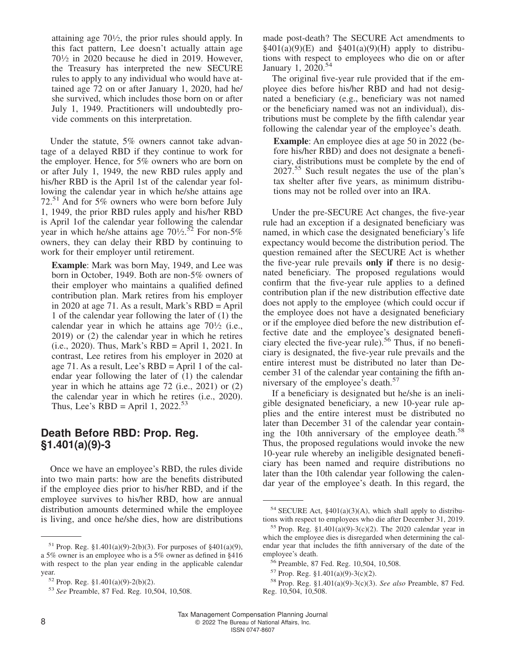attaining age 70<sup>1</sup> ⁄2, the prior rules should apply. In this fact pattern, Lee doesn't actually attain age 70<sup>1</sup> ⁄<sup>2</sup> in 2020 because he died in 2019. However, the Treasury has interpreted the new SECURE rules to apply to any individual who would have attained age 72 on or after January 1, 2020, had he/ she survived, which includes those born on or after July 1, 1949. Practitioners will undoubtedly provide comments on this interpretation.

Under the statute, 5% owners cannot take advantage of a delayed RBD if they continue to work for the employer. Hence, for 5% owners who are born on or after July 1, 1949, the new RBD rules apply and his/her RBD is the April 1st of the calendar year following the calendar year in which he/she attains age 72.<sup>51</sup> And for 5% owners who were born before July 1, 1949, the prior RBD rules apply and his/her RBD is April 1of the calendar year following the calendar year in which he/she attains age  $70\frac{1}{2}$ .<sup>52</sup> For non-5% owners, they can delay their RBD by continuing to work for their employer until retirement.

**Example**: Mark was born May, 1949, and Lee was born in October, 1949. Both are non-5% owners of their employer who maintains a qualified defined contribution plan. Mark retires from his employer in 2020 at age 71. As a result, Mark's RBD = April 1 of the calendar year following the later of (1) the calendar year in which he attains age  $70\frac{1}{2}$  (i.e., 2019) or (2) the calendar year in which he retires (i.e., 2020). Thus, Mark's RBD = April 1, 2021. In contrast, Lee retires from his employer in 2020 at age 71. As a result, Lee's RBD = April 1 of the calendar year following the later of (1) the calendar year in which he attains age 72 (i.e., 2021) or (2) the calendar year in which he retires (i.e., 2020). Thus, Lee's RBD = April 1, 2022.<sup>53</sup>

#### **Death Before RBD: Prop. Reg. §1.401(a)(9)-3**

Once we have an employee's RBD, the rules divide into two main parts: how are the benefits distributed if the employee dies prior to his/her RBD, and if the employee survives to his/her RBD, how are annual distribution amounts determined while the employee is living, and once he/she dies, how are distributions

made post-death? The SECURE Act amendments to  $§401(a)(9)(E)$  and  $§401(a)(9)(H)$  apply to distributions with respect to employees who die on or after January 1, 2020.<sup>54</sup>

The original five-year rule provided that if the employee dies before his/her RBD and had not designated a beneficiary (e.g., beneficiary was not named or the beneficiary named was not an individual), distributions must be complete by the fifth calendar year following the calendar year of the employee's death.

**Example**: An employee dies at age 50 in 2022 (before his/her RBD) and does not designate a beneficiary, distributions must be complete by the end of 2027.<sup>55</sup> Such result negates the use of the plan's tax shelter after five years, as minimum distributions may not be rolled over into an IRA.

Under the pre-SECURE Act changes, the five-year rule had an exception if a designated beneficiary was named, in which case the designated beneficiary's life expectancy would become the distribution period. The question remained after the SECURE Act is whether the five-year rule prevails **only if** there is no designated beneficiary. The proposed regulations would confirm that the five-year rule applies to a defined contribution plan if the new distribution effective date does not apply to the employee (which could occur if the employee does not have a designated beneficiary or if the employee died before the new distribution effective date and the employee's designated beneficiary elected the five-year rule).<sup>56</sup> Thus, if no beneficiary is designated, the five-year rule prevails and the entire interest must be distributed no later than December 31 of the calendar year containing the fifth anniversary of the employee's death.<sup>57</sup>

If a beneficiary is designated but he/she is an ineligible designated beneficiary, a new 10-year rule applies and the entire interest must be distributed no later than December 31 of the calendar year containing the 10th anniversary of the employee death.<sup>58</sup> Thus, the proposed regulations would invoke the new 10-year rule whereby an ineligible designated beneficiary has been named and require distributions no later than the 10th calendar year following the calendar year of the employee's death. In this regard, the

<sup>&</sup>lt;sup>51</sup> Prop. Reg. §1.401(a)(9)-2(b)(3). For purposes of §401(a)(9), a 5% owner is an employee who is a 5% owner as defined in §416 with respect to the plan year ending in the applicable calendar year.

<sup>52</sup> Prop. Reg. §1.401(a)(9)-2(b)(2).

<sup>53</sup> *See* Preamble, 87 Fed. Reg. 10,504, 10,508.

 $54$  SECURE Act, §401(a)(3)(A), which shall apply to distributions with respect to employees who die after December 31, 2019.

<sup>&</sup>lt;sup>55</sup> Prop. Reg. §1.401(a)(9)-3(c)(2). The 2020 calendar year in which the employee dies is disregarded when determining the calendar year that includes the fifth anniversary of the date of the employee's death.

<sup>56</sup> Preamble, 87 Fed. Reg. 10,504, 10,508.

 $57$  Prop. Reg. §1.401(a)(9)-3(c)(2).

<sup>58</sup> Prop. Reg. §1.401(a)(9)-3(c)(3). *See also* Preamble, 87 Fed. Reg. 10,504, 10,508.

Tax Management Compensation Planning Journal 8 8 and 2022 The Bureau of National Affairs, Inc.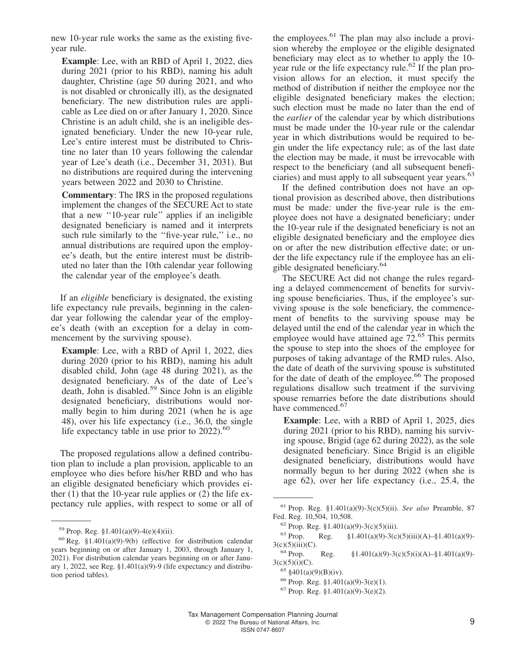new 10-year rule works the same as the existing fiveyear rule.

**Example**: Lee, with an RBD of April 1, 2022, dies during 2021 (prior to his RBD), naming his adult daughter, Christine (age 50 during 2021, and who is not disabled or chronically ill), as the designated beneficiary. The new distribution rules are applicable as Lee died on or after January 1, 2020. Since Christine is an adult child, she is an ineligible designated beneficiary. Under the new 10-year rule, Lee's entire interest must be distributed to Christine no later than 10 years following the calendar year of Lee's death (i.e., December 31, 2031). But no distributions are required during the intervening years between 2022 and 2030 to Christine.

**Commentary**: The IRS in the proposed regulations implement the changes of the SECURE Act to state that a new ''10-year rule'' applies if an ineligible designated beneficiary is named and it interprets such rule similarly to the "five-year rule," i.e., no annual distributions are required upon the employee's death, but the entire interest must be distributed no later than the 10th calendar year following the calendar year of the employee's death.

If an *eligible* beneficiary is designated, the existing life expectancy rule prevails, beginning in the calendar year following the calendar year of the employee's death (with an exception for a delay in commencement by the surviving spouse).

**Example**: Lee, with a RBD of April 1, 2022, dies during 2020 (prior to his RBD), naming his adult disabled child, John (age 48 during 2021), as the designated beneficiary. As of the date of Lee's death, John is disabled.<sup>59</sup> Since John is an eligible designated beneficiary, distributions would normally begin to him during 2021 (when he is age 48), over his life expectancy (i.e., 36.0, the single life expectancy table in use prior to  $2022$ ).<sup>60</sup>

The proposed regulations allow a defined contribution plan to include a plan provision, applicable to an employee who dies before his/her RBD and who has an eligible designated beneficiary which provides either  $(1)$  that the 10-year rule applies or  $(2)$  the life expectancy rule applies, with respect to some or all of the employees.  $61$  The plan may also include a provision whereby the employee or the eligible designated beneficiary may elect as to whether to apply the 10 year rule or the life expectancy rule.<sup>62</sup> If the plan provision allows for an election, it must specify the method of distribution if neither the employee nor the eligible designated beneficiary makes the election; such election must be made no later than the end of the *earlier* of the calendar year by which distributions must be made under the 10-year rule or the calendar year in which distributions would be required to begin under the life expectancy rule; as of the last date the election may be made, it must be irrevocable with respect to the beneficiary (and all subsequent beneficiaries) and must apply to all subsequent year years.<sup>63</sup>

If the defined contribution does not have an optional provision as described above, then distributions must be made: under the five-year rule is the employee does not have a designated beneficiary; under the 10-year rule if the designated beneficiary is not an eligible designated beneficiary and the employee dies on or after the new distribution effective date; or under the life expectancy rule if the employee has an eligible designated beneficiary.<sup>64</sup>

The SECURE Act did not change the rules regarding a delayed commencement of benefits for surviving spouse beneficiaries. Thus, if the employee's surviving spouse is the sole beneficiary, the commencement of benefits to the surviving spouse may be delayed until the end of the calendar year in which the employee would have attained age  $72.65$  This permits the spouse to step into the shoes of the employee for purposes of taking advantage of the RMD rules. Also, the date of death of the surviving spouse is substituted for the date of death of the employee.<sup>66</sup> The proposed regulations disallow such treatment if the surviving spouse remarries before the date distributions should have commenced.<sup>67</sup>

**Example**: Lee, with a RBD of April 1, 2025, dies during 2021 (prior to his RBD), naming his surviving spouse, Brigid (age 62 during 2022), as the sole designated beneficiary. Since Brigid is an eligible designated beneficiary, distributions would have normally begun to her during 2022 (when she is age 62), over her life expectancy (i.e., 25.4, the

63 Prop. Reg.  $\S 1.401(a)(9)-3(c)(5)(iii)(A)-\S 1.401(a)(9)$ - $3(c)(5)(iii)(C).$ <sup>64</sup> Prop.

<sup>&</sup>lt;sup>59</sup> Prop. Reg. §1.401(a)(9)-4(e)(4)(ii).

 $60$  Reg. §1.401(a)(9)-9(b) (effective for distribution calendar years beginning on or after January 1, 2003, through January 1, 2021). For distribution calendar years beginning on or after January 1, 2022, see Reg. §1.401(a)(9)-9 (life expectancy and distribution period tables).

<sup>61</sup> Prop. Reg. §1.401(a)(9)-3(c)(5)(ii). *See also* Preamble, 87 Fed. Reg. 10,504, 10,508.

 $62$  Prop. Reg. §1.401(a)(9)-3(c)(5)(iii).

Reg.  $§1.401(a)(9)-3(c)(5)(i)(A)-§1.401(a)(9)$ - $3(c)(5)(i)(C)$ .

 $65 \text{ } \frac{$401(a)(9)(B)(iv)}{2}$ .

 $66$  Prop. Reg. §1.401(a)(9)-3(e)(1).

 $67$  Prop. Reg. §1.401(a)(9)-3(e)(2).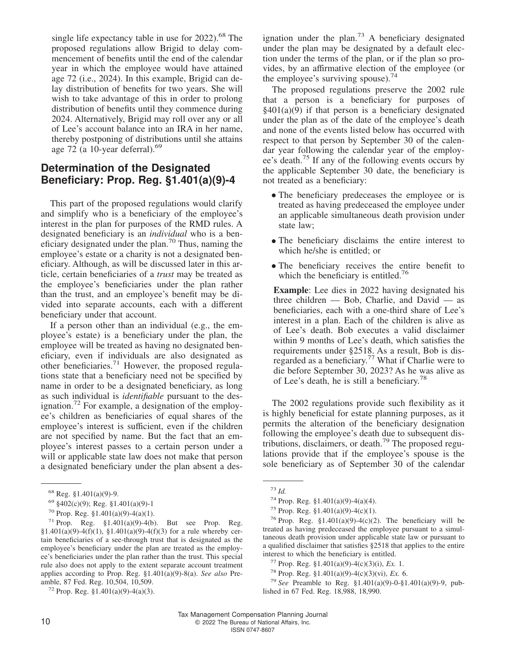single life expectancy table in use for  $2022$ ).<sup>68</sup> The proposed regulations allow Brigid to delay commencement of benefits until the end of the calendar year in which the employee would have attained age 72 (i.e., 2024). In this example, Brigid can delay distribution of benefits for two years. She will wish to take advantage of this in order to prolong distribution of benefits until they commence during 2024. Alternatively, Brigid may roll over any or all of Lee's account balance into an IRA in her name, thereby postponing of distributions until she attains age 72 (a 10-year deferral). $69$ 

## **Determination of the Designated Beneficiary: Prop. Reg. §1.401(a)(9)-4**

This part of the proposed regulations would clarify and simplify who is a beneficiary of the employee's interest in the plan for purposes of the RMD rules. A designated beneficiary is an *individual* who is a beneficiary designated under the plan.<sup>70</sup> Thus, naming the employee's estate or a charity is not a designated beneficiary. Although, as will be discussed later in this article, certain beneficiaries of a *trust* may be treated as the employee's beneficiaries under the plan rather than the trust, and an employee's benefit may be divided into separate accounts, each with a different beneficiary under that account.

If a person other than an individual (e.g., the employee's estate) is a beneficiary under the plan, the employee will be treated as having no designated beneficiary, even if individuals are also designated as other beneficiaries.<sup>71</sup> However, the proposed regulations state that a beneficiary need not be specified by name in order to be a designated beneficiary, as long as such individual is *identifiable* pursuant to the designation.<sup>72</sup> For example, a designation of the employee's children as beneficiaries of equal shares of the employee's interest is sufficient, even if the children are not specified by name. But the fact that an employee's interest passes to a certain person under a will or applicable state law does not make that person a designated beneficiary under the plan absent a designation under the plan. $73$  A beneficiary designated under the plan may be designated by a default election under the terms of the plan, or if the plan so provides, by an affirmative election of the employee (or the employee's surviving spouse).<sup>74</sup>

The proposed regulations preserve the 2002 rule that a person is a beneficiary for purposes of  $§401(a)(9)$  if that person is a beneficiary designated under the plan as of the date of the employee's death and none of the events listed below has occurred with respect to that person by September 30 of the calendar year following the calendar year of the employee's death.<sup>75</sup> If any of the following events occurs by the applicable September 30 date, the beneficiary is not treated as a beneficiary:

- The beneficiary predeceases the employee or is treated as having predeceased the employee under an applicable simultaneous death provision under state law;
- The beneficiary disclaims the entire interest to which he/she is entitled; or
- The beneficiary receives the entire benefit to which the beneficiary is entitled.<sup>76</sup>

**Example**: Lee dies in 2022 having designated his three children — Bob, Charlie, and David — as beneficiaries, each with a one-third share of Lee's interest in a plan. Each of the children is alive as of Lee's death. Bob executes a valid disclaimer within 9 months of Lee's death, which satisfies the requirements under §2518. As a result, Bob is disregarded as a beneficiary.<sup>77</sup> What if Charlie were to die before September 30, 2023? As he was alive as of Lee's death, he is still a beneficiary.<sup>78</sup>

The 2002 regulations provide such flexibility as it is highly beneficial for estate planning purposes, as it permits the alteration of the beneficiary designation following the employee's death due to subsequent distributions, disclaimers, or death.<sup>79</sup> The proposed regulations provide that if the employee's spouse is the sole beneficiary as of September 30 of the calendar

 $68$  Reg. §1.401(a)(9)-9.

<sup>69</sup> §402(c)(9); Reg. §1.401(a)(9)-1

 $70$  Prop. Reg. §1.401(a)(9)-4(a)(1).

<sup>71</sup> Prop. Reg. §1.401(a)(9)-4(b). But see Prop. Reg. §1.401(a)(9)-4(f)(1), §1.401(a)(9)-4(f)(3) for a rule whereby certain beneficiaries of a see-through trust that is designated as the employee's beneficiary under the plan are treated as the employee's beneficiaries under the plan rather than the trust. This special rule also does not apply to the extent separate account treatment applies according to Prop. Reg. §1.401(a)(9)-8(a). *See also* Preamble, 87 Fed. Reg. 10,504, 10,509.

 $72$  Prop. Reg. §1.401(a)(9)-4(a)(3).

<sup>73</sup> *Id.*

 $74$  Prop. Reg. §1.401(a)(9)-4(a)(4).

<sup>&</sup>lt;sup>75</sup> Prop. Reg. §1.401(a)(9)-4(c)(1).

<sup>&</sup>lt;sup>76</sup> Prop. Reg. §1.401(a)(9)-4(c)(2). The beneficiary will be treated as having predeceased the employee pursuant to a simultaneous death provision under applicable state law or pursuant to a qualified disclaimer that satisfies §2518 that applies to the entire interest to which the beneficiary is entitled.

<sup>77</sup> Prop. Reg. §1.401(a)(9)-4(c)(3)(i), *Ex.* 1.

<sup>&</sup>lt;sup>78</sup> Prop. Reg.  $$1.401(a)(9)-4(c)(3)(vi)$ , *Ex.* 6.

<sup>79</sup> *See* Preamble to Reg. §1.401(a)(9)-0-§1.401(a)(9)-9, published in 67 Fed. Reg. 18,988, 18,990.

Tax Management Compensation Planning Journal 10 **COLLEGE 2022** The Bureau of National Affairs, Inc. ISSN 0747-8607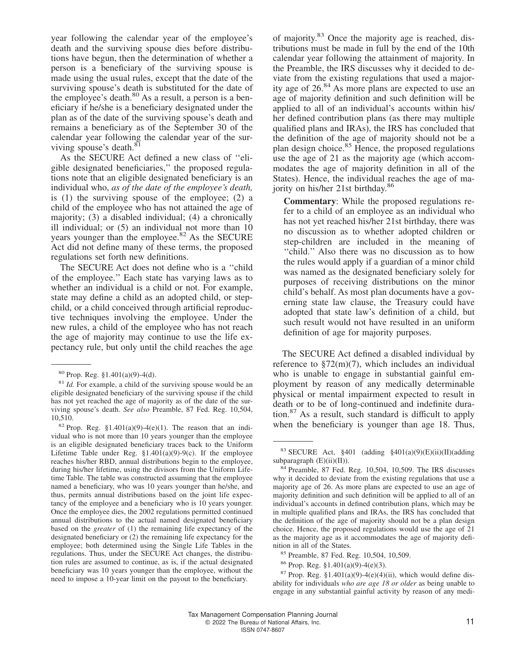year following the calendar year of the employee's death and the surviving spouse dies before distributions have begun, then the determination of whether a person is a beneficiary of the surviving spouse is made using the usual rules, except that the date of the surviving spouse's death is substituted for the date of the employee's death. $80$  As a result, a person is a beneficiary if he/she is a beneficiary designated under the plan as of the date of the surviving spouse's death and remains a beneficiary as of the September 30 of the calendar year following the calendar year of the surviving spouse's death.<sup>81</sup>

As the SECURE Act defined a new class of ''eligible designated beneficiaries,'' the proposed regulations note that an eligible designated beneficiary is an individual who, *as of the date of the employee's death,* is (1) the surviving spouse of the employee; (2) a child of the employee who has not attained the age of majority; (3) a disabled individual; (4) a chronically ill individual; or (5) an individual not more than 10 years younger than the employee.<sup>82</sup> As the SECURE Act did not define many of these terms, the proposed regulations set forth new definitions.

The SECURE Act does not define who is a ''child of the employee.'' Each state has varying laws as to whether an individual is a child or not. For example, state may define a child as an adopted child, or stepchild, or a child conceived through artificial reproductive techniques involving the employee. Under the new rules, a child of the employee who has not reach the age of majority may continue to use the life expectancy rule, but only until the child reaches the age

<sup>82</sup> Prop. Reg. §1.401(a)(9)-4(e)(1). The reason that an individual who is not more than 10 years younger than the employee is an eligible designated beneficiary traces back to the Uniform Lifetime Table under Reg.  $\S1.401(a)(9)-9(c)$ . If the employee reaches his/her RBD, annual distributions begin to the employee, during his/her lifetime, using the divisors from the Uniform Lifetime Table. The table was constructed assuming that the employee named a beneficiary, who was 10 years younger than he/she, and thus, permits annual distributions based on the joint life expectancy of the employee and a beneficiary who is 10 years younger. Once the employee dies, the 2002 regulations permitted continued annual distributions to the actual named designated beneficiary based on the *greater* of (1) the remaining life expectancy of the designated beneficiary or (2) the remaining life expectancy for the employee; both determined using the Single Life Tables in the regulations. Thus, under the SECURE Act changes, the distribution rules are assumed to continue, as is, if the actual designated beneficiary was 10 years younger than the employee, without the need to impose a 10-year limit on the payout to the beneficiary.

of majority.<sup>83</sup> Once the majority age is reached, distributions must be made in full by the end of the 10th calendar year following the attainment of majority. In the Preamble, the IRS discusses why it decided to deviate from the existing regulations that used a majority age of  $26.84$  As more plans are expected to use an age of majority definition and such definition will be applied to all of an individual's accounts within his/ her defined contribution plans (as there may multiple qualified plans and IRAs), the IRS has concluded that the definition of the age of majority should not be a plan design choice.<sup>85</sup> Hence, the proposed regulations use the age of 21 as the majority age (which accommodates the age of majority definition in all of the States). Hence, the individual reaches the age of majority on his/her 21st birthday.<sup>86</sup>

**Commentary**: While the proposed regulations refer to a child of an employee as an individual who has not yet reached his/her 21st birthday, there was no discussion as to whether adopted children or step-children are included in the meaning of ''child.'' Also there was no discussion as to how the rules would apply if a guardian of a minor child was named as the designated beneficiary solely for purposes of receiving distributions on the minor child's behalf. As most plan documents have a governing state law clause, the Treasury could have adopted that state law's definition of a child, but such result would not have resulted in an uniform definition of age for majority purposes.

The SECURE Act defined a disabled individual by reference to  $\S72(m)(7)$ , which includes an individual who is unable to engage in substantial gainful employment by reason of any medically determinable physical or mental impairment expected to result in death or to be of long-continued and indefinite duration.<sup>87</sup> As a result, such standard is difficult to apply when the beneficiary is younger than age 18. Thus,

<sup>80</sup> Prop. Reg. §1.401(a)(9)-4(d).

<sup>81</sup> *Id.* For example, a child of the surviving spouse would be an eligible designated beneficiary of the surviving spouse if the child has not yet reached the age of majority as of the date of the surviving spouse's death. *See also* Preamble, 87 Fed. Reg. 10,504, 10,510.

<sup>&</sup>lt;sup>83</sup> SECURE Act, §401 (adding §401(a)(9)(E)(ii)(II)(adding subparagraph (E)(ii)(II)).

<sup>84</sup> Preamble, 87 Fed. Reg. 10,504, 10,509. The IRS discusses why it decided to deviate from the existing regulations that use a majority age of 26. As more plans are expected to use an age of majority definition and such definition will be applied to all of an individual's accounts in defined contribution plans, which may be in multiple qualified plans and IRAs, the IRS has concluded that the definition of the age of majority should not be a plan design choice. Hence, the proposed regulations would use the age of 21 as the majority age as it accommodates the age of majority definition in all of the States.

<sup>85</sup> Preamble, 87 Fed. Reg. 10,504, 10,509.

<sup>86</sup> Prop. Reg. §1.401(a)(9)-4(e)(3).

<sup>&</sup>lt;sup>87</sup> Prop. Reg. §1.401(a)(9)-4(e)(4)(ii), which would define disability for individuals *who are age 18 or older* as being unable to engage in any substantial gainful activity by reason of any medi-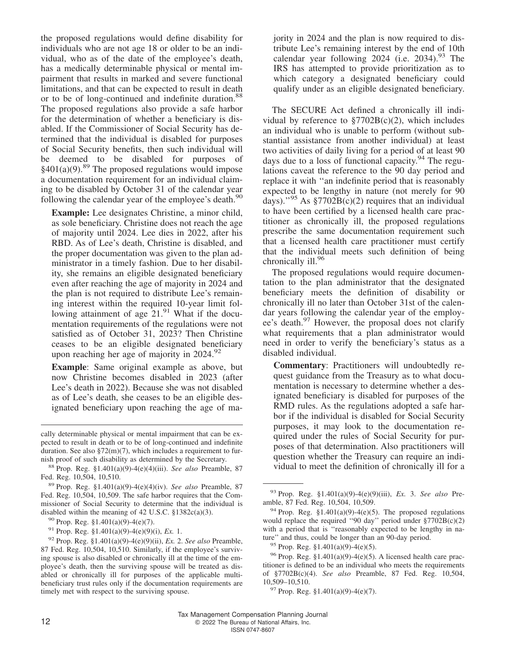the proposed regulations would define disability for individuals who are not age 18 or older to be an individual, who as of the date of the employee's death, has a medically determinable physical or mental impairment that results in marked and severe functional limitations, and that can be expected to result in death or to be of long-continued and indefinite duration.<sup>88</sup> The proposed regulations also provide a safe harbor for the determination of whether a beneficiary is disabled. If the Commissioner of Social Security has determined that the individual is disabled for purposes of Social Security benefits, then such individual will be deemed to be disabled for purposes of  $§401(a)(9).^{89}$  The proposed regulations would impose a documentation requirement for an individual claiming to be disabled by October 31 of the calendar year following the calendar year of the employee's death.<sup>90</sup>

**Example:** Lee designates Christine, a minor child, as sole beneficiary. Christine does not reach the age of majority until 2024. Lee dies in 2022, after his RBD. As of Lee's death, Christine is disabled, and the proper documentation was given to the plan administrator in a timely fashion. Due to her disability, she remains an eligible designated beneficiary even after reaching the age of majority in 2024 and the plan is not required to distribute Lee's remaining interest within the required 10-year limit following attainment of age  $21.^{91}$  What if the documentation requirements of the regulations were not satisfied as of October 31, 2023? Then Christine ceases to be an eligible designated beneficiary upon reaching her age of majority in  $2024.^{92}$ 

**Example**: Same original example as above, but now Christine becomes disabled in 2023 (after Lee's death in 2022). Because she was not disabled as of Lee's death, she ceases to be an eligible designated beneficiary upon reaching the age of majority in 2024 and the plan is now required to distribute Lee's remaining interest by the end of 10th calendar year following  $2024$  (i.e.  $2034$ ).<sup>93</sup> The IRS has attempted to provide prioritization as to which category a designated beneficiary could qualify under as an eligible designated beneficiary.

The SECURE Act defined a chronically ill individual by reference to  $\frac{$7702B(c)}{2}$ , which includes an individual who is unable to perform (without substantial assistance from another individual) at least two activities of daily living for a period of at least 90 days due to a loss of functional capacity.<sup>94</sup> The regulations caveat the reference to the 90 day period and replace it with ''an indefinite period that is reasonably expected to be lengthy in nature (not merely for 90 days)."<sup>95</sup> As  $\S 7702B(c)(2)$  requires that an individual to have been certified by a licensed health care practitioner as chronically ill, the proposed regulations prescribe the same documentation requirement such that a licensed health care practitioner must certify that the individual meets such definition of being chronically ill.<sup>96</sup>

The proposed regulations would require documentation to the plan administrator that the designated beneficiary meets the definition of disability or chronically ill no later than October 31st of the calendar years following the calendar year of the employee's death.<sup>97</sup> However, the proposal does not clarify what requirements that a plan administrator would need in order to verify the beneficiary's status as a disabled individual.

**Commentary**: Practitioners will undoubtedly request guidance from the Treasury as to what documentation is necessary to determine whether a designated beneficiary is disabled for purposes of the RMD rules. As the regulations adopted a safe harbor if the individual is disabled for Social Security purposes, it may look to the documentation required under the rules of Social Security for purposes of that determination. Also practitioners will question whether the Treasury can require an individual to meet the definition of chronically ill for a

cally determinable physical or mental impairment that can be expected to result in death or to be of long-continued and indefinite duration. See also  $\S72(m)(7)$ , which includes a requirement to furnish proof of such disability as determined by the Secretary.

<sup>88</sup> Prop. Reg. §1.401(a)(9)-4(e)(4)(iii). *See also* Preamble, 87 Fed. Reg. 10,504, 10,510.

<sup>89</sup> Prop. Reg. §1.401(a)(9)-4(e)(4)(iv). *See also* Preamble, 87 Fed. Reg. 10,504, 10,509. The safe harbor requires that the Commissioner of Social Security to determine that the individual is disabled within the meaning of 42 U.S.C. §1382c(a)(3).

 $90$  Prop. Reg. §1.401(a)(9)-4(e)(7).

<sup>91</sup> Prop. Reg. §1.401(a)(9)-4(e)(9)(i), *Ex.* 1.

<sup>92</sup> Prop. Reg. §1.401(a)(9)-4(e)(9)(ii), *Ex.* 2. *See also* Preamble, 87 Fed. Reg. 10,504, 10,510. Similarly, if the employee's surviving spouse is also disabled or chronically ill at the time of the employee's death, then the surviving spouse will be treated as disabled or chronically ill for purposes of the applicable multibeneficiary trust rules only if the documentation requirements are timely met with respect to the surviving spouse.

<sup>93</sup> Prop. Reg. §1.401(a)(9)-4(e)(9)(iii), *Ex.* 3. *See also* Preamble, 87 Fed. Reg. 10,504, 10,509.

 $94$  Prop. Reg. §1.401(a)(9)-4(e)(5). The proposed regulations would replace the required ''90 day'' period under §7702B(c)(2) with a period that is "reasonably expected to be lengthy in nature'' and thus, could be longer than an 90-day period.

 $95$  Prop. Reg. §1.401(a)(9)-4(e)(5).

<sup>&</sup>lt;sup>96</sup> Prop. Reg. §1.401(a)(9)-4(e)(5). A licensed health care practitioner is defined to be an individual who meets the requirements of §7702B(c)(4). *See also* Preamble, 87 Fed. Reg. 10,504, 10,509–10,510.

 $97$  Prop. Reg. §1.401(a)(9)-4(e)(7).

Tax Management Compensation Planning Journal 12 **COLLEGE 2022** The Bureau of National Affairs, Inc. ISSN 0747-8607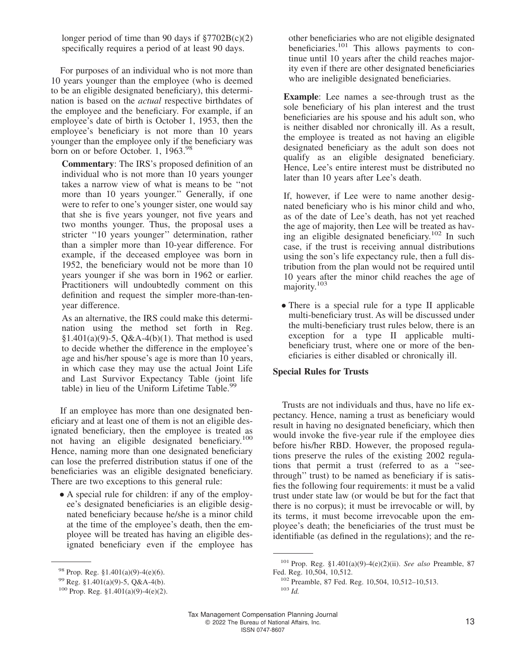longer period of time than 90 days if  $\frac{$7702B(c)}{2}$ specifically requires a period of at least 90 days.

For purposes of an individual who is not more than 10 years younger than the employee (who is deemed to be an eligible designated beneficiary), this determination is based on the *actual* respective birthdates of the employee and the beneficiary. For example, if an employee's date of birth is October 1, 1953, then the employee's beneficiary is not more than 10 years younger than the employee only if the beneficiary was born on or before October. 1, 1963.<sup>98</sup>

**Commentary**: The IRS's proposed definition of an individual who is not more than 10 years younger takes a narrow view of what is means to be ''not more than 10 years younger.'' Generally, if one were to refer to one's younger sister, one would say that she is five years younger, not five years and two months younger. Thus, the proposal uses a stricter "10 years younger" determination, rather than a simpler more than 10-year difference. For example, if the deceased employee was born in 1952, the beneficiary would not be more than 10 years younger if she was born in 1962 or earlier. Practitioners will undoubtedly comment on this definition and request the simpler more-than-tenyear difference.

As an alternative, the IRS could make this determination using the method set forth in Reg. §1.401(a)(9)-5, Q&A-4(b)(1). That method is used to decide whether the difference in the employee's age and his/her spouse's age is more than 10 years, in which case they may use the actual Joint Life and Last Survivor Expectancy Table (joint life table) in lieu of the Uniform Lifetime Table.<sup>99</sup>

If an employee has more than one designated beneficiary and at least one of them is not an eligible designated beneficiary, then the employee is treated as not having an eligible designated beneficiary.<sup>100</sup> Hence, naming more than one designated beneficiary can lose the preferred distribution status if one of the beneficiaries was an eligible designated beneficiary. There are two exceptions to this general rule:

• A special rule for children: if any of the employee's designated beneficiaries is an eligible designated beneficiary because he/she is a minor child at the time of the employee's death, then the employee will be treated has having an eligible designated beneficiary even if the employee has other beneficiaries who are not eligible designated beneficiaries.<sup>101</sup> This allows payments to continue until 10 years after the child reaches majority even if there are other designated beneficiaries who are ineligible designated beneficiaries.

**Example**: Lee names a see-through trust as the sole beneficiary of his plan interest and the trust beneficiaries are his spouse and his adult son, who is neither disabled nor chronically ill. As a result, the employee is treated as not having an eligible designated beneficiary as the adult son does not qualify as an eligible designated beneficiary. Hence, Lee's entire interest must be distributed no later than 10 years after Lee's death.

If, however, if Lee were to name another designated beneficiary who is his minor child and who, as of the date of Lee's death, has not yet reached the age of majority, then Lee will be treated as having an eligible designated beneficiary.<sup>102</sup> In such case, if the trust is receiving annual distributions using the son's life expectancy rule, then a full distribution from the plan would not be required until 10 years after the minor child reaches the age of majority.<sup>103</sup>

• There is a special rule for a type II applicable multi-beneficiary trust. As will be discussed under the multi-beneficiary trust rules below, there is an exception for a type II applicable multibeneficiary trust, where one or more of the beneficiaries is either disabled or chronically ill.

#### **Special Rules for Trusts**

Trusts are not individuals and thus, have no life expectancy. Hence, naming a trust as beneficiary would result in having no designated beneficiary, which then would invoke the five-year rule if the employee dies before his/her RBD. However, the proposed regulations preserve the rules of the existing 2002 regulations that permit a trust (referred to as a ''seethrough'' trust) to be named as beneficiary if is satisfies the following four requirements: it must be a valid trust under state law (or would be but for the fact that there is no corpus); it must be irrevocable or will, by its terms, it must become irrevocable upon the employee's death; the beneficiaries of the trust must be identifiable (as defined in the regulations); and the re-

 $98$  Prop. Reg. §1.401(a)(9)-4(e)(6).

<sup>99</sup> Reg. §1.401(a)(9)-5, Q&A-4(b).

 $100$  Prop. Reg. §1.401(a)(9)-4(e)(2).

<sup>101</sup> Prop. Reg. §1.401(a)(9)-4(e)(2)(ii). *See also* Preamble, 87 Fed. Reg. 10,504, 10,512.

<sup>102</sup> Preamble, 87 Fed. Reg. 10,504, 10,512–10,513. <sup>103</sup> *Id.*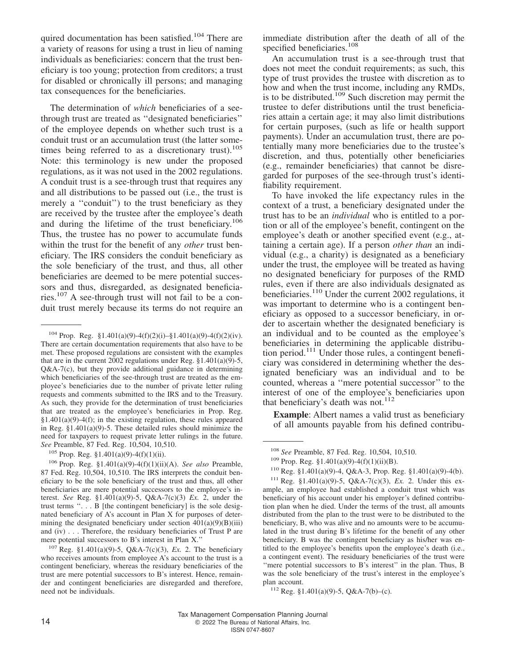quired documentation has been satisfied.<sup>104</sup> There are a variety of reasons for using a trust in lieu of naming individuals as beneficiaries: concern that the trust beneficiary is too young; protection from creditors; a trust for disabled or chronically ill persons; and managing tax consequences for the beneficiaries.

The determination of *which* beneficiaries of a seethrough trust are treated as ''designated beneficiaries'' of the employee depends on whether such trust is a conduit trust or an accumulation trust (the latter sometimes being referred to as a discretionary trust). $105$ Note: this terminology is new under the proposed regulations, as it was not used in the 2002 regulations. A conduit trust is a see-through trust that requires any and all distributions to be passed out (i.e., the trust is merely a ''conduit'') to the trust beneficiary as they are received by the trustee after the employee's death and during the lifetime of the trust beneficiary.<sup>106</sup> Thus, the trustee has no power to accumulate funds within the trust for the benefit of any *other* trust beneficiary. The IRS considers the conduit beneficiary as the sole beneficiary of the trust, and thus, all other beneficiaries are deemed to be mere potential successors and thus, disregarded, as designated beneficiaries.<sup>107</sup> A see-through trust will not fail to be a conduit trust merely because its terms do not require an

immediate distribution after the death of all of the specified beneficiaries.<sup>108</sup>

An accumulation trust is a see-through trust that does not meet the conduit requirements; as such, this type of trust provides the trustee with discretion as to how and when the trust income, including any RMDs, is to be distributed.<sup>109</sup> Such discretion may permit the trustee to defer distributions until the trust beneficiaries attain a certain age; it may also limit distributions for certain purposes, (such as life or health support payments). Under an accumulation trust, there are potentially many more beneficiaries due to the trustee's discretion, and thus, potentially other beneficiaries (e.g., remainder beneficiaries) that cannot be disregarded for purposes of the see-through trust's identifiability requirement.

To have invoked the life expectancy rules in the context of a trust, a beneficiary designated under the trust has to be an *individual* who is entitled to a portion or all of the employee's benefit, contingent on the employee's death or another specified event (e.g., attaining a certain age). If a person *other than* an individual (e.g., a charity) is designated as a beneficiary under the trust, the employee will be treated as having no designated beneficiary for purposes of the RMD rules, even if there are also individuals designated as beneficiaries.<sup>110</sup> Under the current 2002 regulations, it was important to determine who is a contingent beneficiary as opposed to a successor beneficiary, in order to ascertain whether the designated beneficiary is an individual and to be counted as the employee's beneficiaries in determining the applicable distribution period.<sup>111</sup> Under those rules, a contingent beneficiary was considered in determining whether the designated beneficiary was an individual and to be counted, whereas a ''mere potential successor'' to the interest of one of the employee's beneficiaries upon that beneficiary's death was not.<sup>112</sup>

**Example**: Albert names a valid trust as beneficiary of all amounts payable from his defined contribu-

<sup>&</sup>lt;sup>104</sup> Prop. Reg. §1.401(a)(9)-4(f)(2)(i)-§1.401(a)(9)-4(f)(2)(iv). There are certain documentation requirements that also have to be met. These proposed regulations are consistent with the examples that are in the current 2002 regulations under Reg.  $$1.401(a)(9)-5$ ,  $Q&A-7(c)$ , but they provide additional guidance in determining which beneficiaries of the see-through trust are treated as the employee's beneficiaries due to the number of private letter ruling requests and comments submitted to the IRS and to the Treasury. As such, they provide for the determination of trust beneficiaries that are treated as the employee's beneficiaries in Prop. Reg.  $§1.401(a)(9)-4(f);$  in the existing regulation, these rules appeared in Reg. §1.401(a)(9)-5. These detailed rules should minimize the need for taxpayers to request private letter rulings in the future. *See* Preamble, 87 Fed. Reg. 10,504, 10,510.

<sup>105</sup> Prop. Reg. §1.401(a)(9)-4(f)(1)(ii).

<sup>106</sup> Prop. Reg. §1.401(a)(9)-4(f)(1)(ii)(A). *See also* Preamble, 87 Fed. Reg. 10,504, 10,510. The IRS interprets the conduit beneficiary to be the sole beneficiary of the trust and thus, all other beneficiaries are mere potential successors to the employee's interest. *See* Reg. §1.401(a)(9)-5, Q&A-7(c)(3) *Ex.* 2, under the trust terms ". . . B [the contingent beneficiary] is the sole designated beneficiary of A's account in Plan X for purposes of determining the designated beneficiary under section  $401(a)(9)(B)(iii)$ and (iv) . . . Therefore, the residuary beneficiaries of Trust P are mere potential successors to B's interest in Plan X.''

<sup>107</sup> Reg. §1.401(a)(9)-5, Q&A-7(c)(3), *Ex.* 2. The beneficiary who receives amounts from employee A's account to the trust is a contingent beneficiary, whereas the residuary beneficiaries of the trust are mere potential successors to B's interest. Hence, remainder and contingent beneficiaries are disregarded and therefore, need not be individuals.

<sup>108</sup> *See* Preamble, 87 Fed. Reg. 10,504, 10,510.

<sup>&</sup>lt;sup>109</sup> Prop. Reg. §1.401(a)(9)-4(f)(1)(ii)(B).

<sup>110</sup> Reg. §1.401(a)(9)-4, Q&A-3, Prop. Reg. §1.401(a)(9)-4(b).

<sup>111</sup> Reg. §1.401(a)(9)-5, Q&A-7(c)(3), *Ex.* 2. Under this example, an employee had established a conduit trust which was beneficiary of his account under his employer's defined contribution plan when he died. Under the terms of the trust, all amounts distributed from the plan to the trust were to be distributed to the beneficiary, B, who was alive and no amounts were to be accumulated in the trust during B's lifetime for the benefit of any other beneficiary. B was the contingent beneficiary as his/her was entitled to the employee's benefits upon the employee's death (i.e., a contingent event). The residuary beneficiaries of the trust were "mere potential successors to B's interest" in the plan. Thus, B was the sole beneficiary of the trust's interest in the employee's plan account.

<sup>112</sup> Reg. §1.401(a)(9)-5, Q&A-7(b)–(c).

Tax Management Compensation Planning Journal 14 C 2022 The Bureau of National Affairs, Inc. ISSN 0747-8607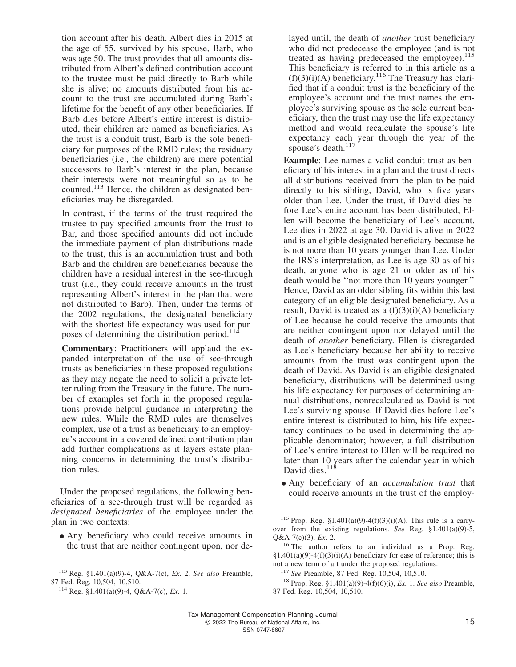tion account after his death. Albert dies in 2015 at the age of 55, survived by his spouse, Barb, who was age 50. The trust provides that all amounts distributed from Albert's defined contribution account to the trustee must be paid directly to Barb while she is alive; no amounts distributed from his account to the trust are accumulated during Barb's lifetime for the benefit of any other beneficiaries. If Barb dies before Albert's entire interest is distributed, their children are named as beneficiaries. As the trust is a conduit trust, Barb is the sole beneficiary for purposes of the RMD rules; the residuary beneficiaries (i.e., the children) are mere potential successors to Barb's interest in the plan, because their interests were not meaningful so as to be counted.<sup>113</sup> Hence, the children as designated beneficiaries may be disregarded.

In contrast, if the terms of the trust required the trustee to pay specified amounts from the trust to Bar, and those specified amounts did not include the immediate payment of plan distributions made to the trust, this is an accumulation trust and both Barb and the children are beneficiaries because the children have a residual interest in the see-through trust (i.e., they could receive amounts in the trust representing Albert's interest in the plan that were not distributed to Barb). Then, under the terms of the 2002 regulations, the designated beneficiary with the shortest life expectancy was used for purposes of determining the distribution period.<sup>114</sup>

**Commentary**: Practitioners will applaud the expanded interpretation of the use of see-through trusts as beneficiaries in these proposed regulations as they may negate the need to solicit a private letter ruling from the Treasury in the future. The number of examples set forth in the proposed regulations provide helpful guidance in interpreting the new rules. While the RMD rules are themselves complex, use of a trust as beneficiary to an employee's account in a covered defined contribution plan add further complications as it layers estate planning concerns in determining the trust's distribution rules.

Under the proposed regulations, the following beneficiaries of a see-through trust will be regarded as *designated beneficiaries* of the employee under the plan in two contexts:

• Any beneficiary who could receive amounts in the trust that are neither contingent upon, nor delayed until, the death of *another* trust beneficiary who did not predecease the employee (and is not treated as having predeceased the employee).<sup>115</sup> This beneficiary is referred to in this article as a  $(f)(3)(i)$ (A) beneficiary.<sup>116</sup> The Treasury has clarified that if a conduit trust is the beneficiary of the employee's account and the trust names the employee's surviving spouse as the sole current beneficiary, then the trust may use the life expectancy method and would recalculate the spouse's life expectancy each year through the year of the spouse's death.<sup>117</sup>

**Example**: Lee names a valid conduit trust as beneficiary of his interest in a plan and the trust directs all distributions received from the plan to be paid directly to his sibling, David, who is five years older than Lee. Under the trust, if David dies before Lee's entire account has been distributed, Ellen will become the beneficiary of Lee's account. Lee dies in 2022 at age 30. David is alive in 2022 and is an eligible designated beneficiary because he is not more than 10 years younger than Lee. Under the IRS's interpretation, as Lee is age 30 as of his death, anyone who is age 21 or older as of his death would be ''not more than 10 years younger.'' Hence, David as an older sibling fits within this last category of an eligible designated beneficiary. As a result, David is treated as a  $(f)(3)(i)(A)$  beneficiary of Lee because he could receive the amounts that are neither contingent upon nor delayed until the death of *another* beneficiary. Ellen is disregarded as Lee's beneficiary because her ability to receive amounts from the trust was contingent upon the death of David. As David is an eligible designated beneficiary, distributions will be determined using his life expectancy for purposes of determining annual distributions, nonrecalculated as David is not Lee's surviving spouse. If David dies before Lee's entire interest is distributed to him, his life expectancy continues to be used in determining the applicable denominator; however, a full distribution of Lee's entire interest to Ellen will be required no later than 10 years after the calendar year in which David dies. $11<sup>8</sup>$ 

• Any beneficiary of an *accumulation trust* that could receive amounts in the trust of the employ-

<sup>113</sup> Reg. §1.401(a)(9)-4, Q&A-7(c), *Ex.* 2. *See also* Preamble, 87 Fed. Reg. 10,504, 10,510.

<sup>114</sup> Reg. §1.401(a)(9)-4, Q&A-7(c), *Ex.* 1.

<sup>&</sup>lt;sup>115</sup> Prop. Reg. §1.401(a)(9)-4(f)(3)(i)(A). This rule is a carryover from the existing regulations. *See* Reg. §1.401(a)(9)-5, Q&A-7(c)(3), *Ex.* 2.

<sup>&</sup>lt;sup>116</sup> The author refers to an individual as a Prop. Reg.  $§1.401(a)(9)-4(f)(3)(i)(A)$  beneficiary for ease of reference; this is not a new term of art under the proposed regulations.

<sup>117</sup> *See* Preamble, 87 Fed. Reg. 10,504, 10,510.

<sup>118</sup> Prop. Reg. §1.401(a)(9)-4(f)(6)(i), *Ex.* 1. *See also* Preamble, 87 Fed. Reg. 10,504, 10,510.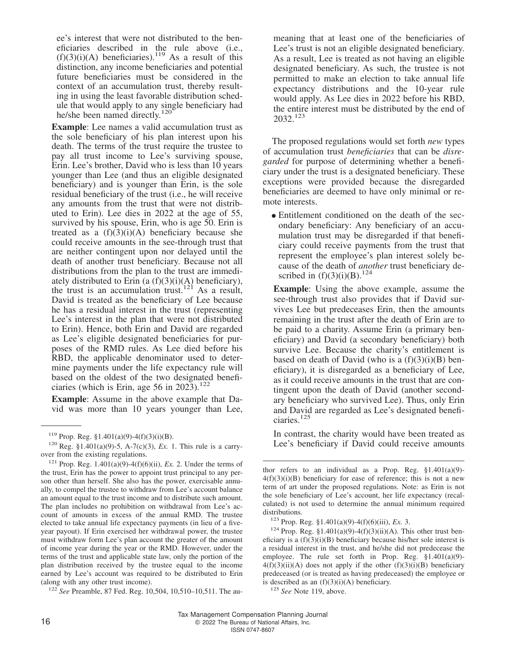ee's interest that were not distributed to the beneficiaries described in the rule above (i.e.,  $(f)(3)(i)$ (A) beneficiaries).<sup>119</sup> As a result of this distinction, any income beneficiaries and potential future beneficiaries must be considered in the context of an accumulation trust, thereby resulting in using the least favorable distribution schedule that would apply to any single beneficiary had he/she been named directly.<sup>120</sup>

**Example**: Lee names a valid accumulation trust as the sole beneficiary of his plan interest upon his death. The terms of the trust require the trustee to pay all trust income to Lee's surviving spouse, Erin. Lee's brother, David who is less than 10 years younger than Lee (and thus an eligible designated beneficiary) and is younger than Erin, is the sole residual beneficiary of the trust (i.e., he will receive any amounts from the trust that were not distributed to Erin). Lee dies in 2022 at the age of 55, survived by his spouse, Erin, who is age 50. Erin is treated as a  $(f)(3)(i)(A)$  beneficiary because she could receive amounts in the see-through trust that are neither contingent upon nor delayed until the death of another trust beneficiary. Because not all distributions from the plan to the trust are immediately distributed to Erin (a  $(f)(3)(i)(A)$  beneficiary), the trust is an accumulation trust.<sup>121</sup> As a result, David is treated as the beneficiary of Lee because he has a residual interest in the trust (representing Lee's interest in the plan that were not distributed to Erin). Hence, both Erin and David are regarded as Lee's eligible designated beneficiaries for purposes of the RMD rules. As Lee died before his RBD, the applicable denominator used to determine payments under the life expectancy rule will based on the oldest of the two designated beneficiaries (which is Erin, age 56 in  $2023$ ).<sup>122</sup>

**Example**: Assume in the above example that David was more than 10 years younger than Lee,

<sup>122</sup> *See* Preamble, 87 Fed. Reg. 10,504, 10,510–10,511. The au-

meaning that at least one of the beneficiaries of Lee's trust is not an eligible designated beneficiary. As a result, Lee is treated as not having an eligible designated beneficiary. As such, the trustee is not permitted to make an election to take annual life expectancy distributions and the 10-year rule would apply. As Lee dies in 2022 before his RBD, the entire interest must be distributed by the end of 2032.<sup>123</sup>

The proposed regulations would set forth *new* types of accumulation trust *beneficiaries* that can be *disregarded* for purpose of determining whether a beneficiary under the trust is a designated beneficiary. These exceptions were provided because the disregarded beneficiaries are deemed to have only minimal or remote interests.

• Entitlement conditioned on the death of the secondary beneficiary: Any beneficiary of an accumulation trust may be disregarded if that beneficiary could receive payments from the trust that represent the employee's plan interest solely because of the death of *another* trust beneficiary described in  $(f)(3)(i)(B)$ .<sup>124</sup>

**Example**: Using the above example, assume the see-through trust also provides that if David survives Lee but predeceases Erin, then the amounts remaining in the trust after the death of Erin are to be paid to a charity. Assume Erin (a primary beneficiary) and David (a secondary beneficiary) both survive Lee. Because the charity's entitlement is based on death of David (who is a  $(f)(3)(i)(B)$  beneficiary), it is disregarded as a beneficiary of Lee, as it could receive amounts in the trust that are contingent upon the death of David (another secondary beneficiary who survived Lee). Thus, only Erin and David are regarded as Lee's designated beneficiaries.<sup>125</sup>

In contrast, the charity would have been treated as Lee's beneficiary if David could receive amounts

 $119$  Prop. Reg. §1.401(a)(9)-4(f)(3)(i)(B).

<sup>120</sup> Reg. §1.401(a)(9)-5, A-7(c)(3), *Ex.* 1. This rule is a carryover from the existing regulations.

<sup>&</sup>lt;sup>121</sup> Prop. Reg. 1.401(a)(9)-4(f)(6)(ii), *Ex.* 2. Under the terms of the trust, Erin has the power to appoint trust principal to any person other than herself. She also has the power, exercisable annually, to compel the trustee to withdraw from Lee's account balance an amount equal to the trust income and to distribute such amount. The plan includes no prohibition on withdrawal from Lee's account of amounts in excess of the annual RMD. The trustee elected to take annual life expectancy payments (in lieu of a fiveyear payout). If Erin exercised her withdrawal power, the trustee must withdraw form Lee's plan account the greater of the amount of income year during the year or the RMD. However, under the terms of the trust and applicable state law, only the portion of the plan distribution received by the trustee equal to the income earned by Lee's account was required to be distributed to Erin (along with any other trust income).

thor refers to an individual as a Prop. Reg.  $$1.401(a)(9)$ - $4(f)(3)(i)(B)$  beneficiary for ease of reference; this is not a new term of art under the proposed regulations. Note: as Erin is not the sole beneficiary of Lee's account, her life expectancy (recalculated) is not used to determine the annual minimum required distributions.

<sup>123</sup> Prop. Reg. §1.401(a)(9)-4(f)(6)(iii), *Ex.* 3.

<sup>&</sup>lt;sup>124</sup> Prop. Reg. §1.401(a)(9)-4(f)(3)(ii)(A). This other trust beneficiary is a  $(f)(3)(i)(B)$  beneficiary because his/her sole interest is a residual interest in the trust, and he/she did not predecease the employee. The rule set forth in Prop. Reg. §1.401(a)(9)-  $4(f)(3)(ii)(A)$  does not apply if the other  $(f)(3)(i)(B)$  beneficiary predeceased (or is treated as having predeceased) the employee or is described as an  $(f)(3)(i)(A)$  beneficiary.

<sup>125</sup> *See* Note 119, above.

Tax Management Compensation Planning Journal 16 **COLLET 16** COLLET 12022 The Bureau of National Affairs, Inc. ISSN 0747-8607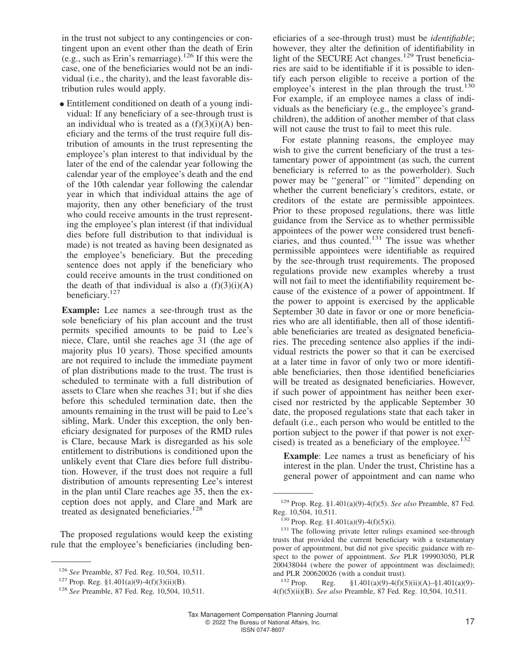in the trust not subject to any contingencies or contingent upon an event other than the death of Erin (e.g., such as Erin's remarriage).<sup>126</sup> If this were the case, one of the beneficiaries would not be an individual (i.e., the charity), and the least favorable distribution rules would apply.

• Entitlement conditioned on death of a young individual: If any beneficiary of a see-through trust is an individual who is treated as a  $(f)(3)(i)(A)$  beneficiary and the terms of the trust require full distribution of amounts in the trust representing the employee's plan interest to that individual by the later of the end of the calendar year following the calendar year of the employee's death and the end of the 10th calendar year following the calendar year in which that individual attains the age of majority, then any other beneficiary of the trust who could receive amounts in the trust representing the employee's plan interest (if that individual dies before full distribution to that individual is made) is not treated as having been designated as the employee's beneficiary. But the preceding sentence does not apply if the beneficiary who could receive amounts in the trust conditioned on the death of that individual is also a  $(f)(3)(i)(A)$ beneficiary.<sup>127</sup>

**Example:** Lee names a see-through trust as the sole beneficiary of his plan account and the trust permits specified amounts to be paid to Lee's niece, Clare, until she reaches age 31 (the age of majority plus 10 years). Those specified amounts are not required to include the immediate payment of plan distributions made to the trust. The trust is scheduled to terminate with a full distribution of assets to Clare when she reaches 31; but if she dies before this scheduled termination date, then the amounts remaining in the trust will be paid to Lee's sibling, Mark. Under this exception, the only beneficiary designated for purposes of the RMD rules is Clare, because Mark is disregarded as his sole entitlement to distributions is conditioned upon the unlikely event that Clare dies before full distribution. However, if the trust does not require a full distribution of amounts representing Lee's interest in the plan until Clare reaches age 35, then the exception does not apply, and Clare and Mark are treated as designated beneficiaries.<sup>128</sup>

The proposed regulations would keep the existing rule that the employee's beneficiaries (including ben-

eficiaries of a see-through trust) must be *identifiable*; however, they alter the definition of identifiability in light of the SECURE Act changes.<sup>129</sup> Trust beneficiaries are said to be identifiable if it is possible to identify each person eligible to receive a portion of the employee's interest in the plan through the trust. $130$ For example, if an employee names a class of individuals as the beneficiary (e.g., the employee's grandchildren), the addition of another member of that class will not cause the trust to fail to meet this rule.

For estate planning reasons, the employee may wish to give the current beneficiary of the trust a testamentary power of appointment (as such, the current beneficiary is referred to as the powerholder). Such power may be ''general'' or ''limited'' depending on whether the current beneficiary's creditors, estate, or creditors of the estate are permissible appointees. Prior to these proposed regulations, there was little guidance from the Service as to whether permissible appointees of the power were considered trust beneficiaries, and thus counted. $131$  The issue was whether permissible appointees were identifiable as required by the see-through trust requirements. The proposed regulations provide new examples whereby a trust will not fail to meet the identifiability requirement because of the existence of a power of appointment. If the power to appoint is exercised by the applicable September 30 date in favor or one or more beneficiaries who are all identifiable, then all of those identifiable beneficiaries are treated as designated beneficiaries. The preceding sentence also applies if the individual restricts the power so that it can be exercised at a later time in favor of only two or more identifiable beneficiaries, then those identified beneficiaries will be treated as designated beneficiaries. However, if such power of appointment has neither been exercised nor restricted by the applicable September 30 date, the proposed regulations state that each taker in default (i.e., each person who would be entitled to the portion subject to the power if that power is not exercised) is treated as a beneficiary of the employee.<sup>132</sup>

**Example**: Lee names a trust as beneficiary of his interest in the plan. Under the trust, Christine has a general power of appointment and can name who

<sup>132</sup> Prop. Reg.  $\S 1.401(a)(9) - 4(f)(5)(ii)(A) - \S 1.401(a)(9) -$ 4(f)(5)(ii)(B). *See also* Preamble, 87 Fed. Reg. 10,504, 10,511.

<sup>126</sup> *See* Preamble, 87 Fed. Reg. 10,504, 10,511.

<sup>&</sup>lt;sup>127</sup> Prop. Reg. §1.401(a)(9)-4(f)(3)(ii)(B).

<sup>128</sup> *See* Preamble, 87 Fed. Reg. 10,504, 10,511.

<sup>129</sup> Prop. Reg. §1.401(a)(9)-4(f)(5). *See also* Preamble, 87 Fed. Reg. 10,504, 10,511.

 $130$  Prop. Reg. §1.401(a)(9)-4(f)(5)(i).

<sup>&</sup>lt;sup>131</sup> The following private letter rulings examined see-through trusts that provided the current beneficiary with a testamentary power of appointment, but did not give specific guidance with respect to the power of appointment. *See* PLR 199903050, PLR 200438044 (where the power of appointment was disclaimed); and PLR 200620026 (with a conduit trust).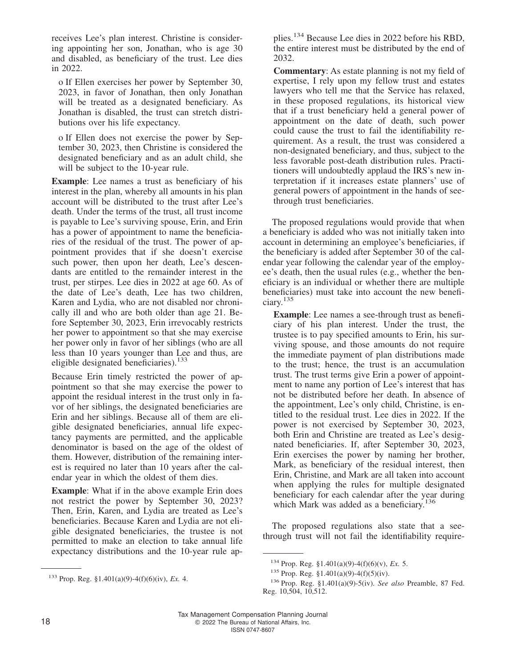receives Lee's plan interest. Christine is considering appointing her son, Jonathan, who is age 30 and disabled, as beneficiary of the trust. Lee dies in 2022.

o If Ellen exercises her power by September 30, 2023, in favor of Jonathan, then only Jonathan will be treated as a designated beneficiary. As Jonathan is disabled, the trust can stretch distributions over his life expectancy.

o If Ellen does not exercise the power by September 30, 2023, then Christine is considered the designated beneficiary and as an adult child, she will be subject to the 10-year rule.

**Example**: Lee names a trust as beneficiary of his interest in the plan, whereby all amounts in his plan account will be distributed to the trust after Lee's death. Under the terms of the trust, all trust income is payable to Lee's surviving spouse, Erin, and Erin has a power of appointment to name the beneficiaries of the residual of the trust. The power of appointment provides that if she doesn't exercise such power, then upon her death, Lee's descendants are entitled to the remainder interest in the trust, per stirpes. Lee dies in 2022 at age 60. As of the date of Lee's death, Lee has two children, Karen and Lydia, who are not disabled nor chronically ill and who are both older than age 21. Before September 30, 2023, Erin irrevocably restricts her power to appointment so that she may exercise her power only in favor of her siblings (who are all less than 10 years younger than Lee and thus, are eligible designated beneficiaries).<sup>133</sup>

Because Erin timely restricted the power of appointment so that she may exercise the power to appoint the residual interest in the trust only in favor of her siblings, the designated beneficiaries are Erin and her siblings. Because all of them are eligible designated beneficiaries, annual life expectancy payments are permitted, and the applicable denominator is based on the age of the oldest of them. However, distribution of the remaining interest is required no later than 10 years after the calendar year in which the oldest of them dies.

**Example**: What if in the above example Erin does not restrict the power by September 30, 2023? Then, Erin, Karen, and Lydia are treated as Lee's beneficiaries. Because Karen and Lydia are not eligible designated beneficiaries, the trustee is not permitted to make an election to take annual life expectancy distributions and the 10-year rule applies.<sup>134</sup> Because Lee dies in 2022 before his RBD, the entire interest must be distributed by the end of 2032.

**Commentary**: As estate planning is not my field of expertise, I rely upon my fellow trust and estates lawyers who tell me that the Service has relaxed, in these proposed regulations, its historical view that if a trust beneficiary held a general power of appointment on the date of death, such power could cause the trust to fail the identifiability requirement. As a result, the trust was considered a non-designated beneficiary, and thus, subject to the less favorable post-death distribution rules. Practitioners will undoubtedly applaud the IRS's new interpretation if it increases estate planners' use of general powers of appointment in the hands of seethrough trust beneficiaries.

The proposed regulations would provide that when a beneficiary is added who was not initially taken into account in determining an employee's beneficiaries, if the beneficiary is added after September 30 of the calendar year following the calendar year of the employee's death, then the usual rules (e.g., whether the beneficiary is an individual or whether there are multiple beneficiaries) must take into account the new beneficiary.<sup>135</sup>

**Example**: Lee names a see-through trust as beneficiary of his plan interest. Under the trust, the trustee is to pay specified amounts to Erin, his surviving spouse, and those amounts do not require the immediate payment of plan distributions made to the trust; hence, the trust is an accumulation trust. The trust terms give Erin a power of appointment to name any portion of Lee's interest that has not be distributed before her death. In absence of the appointment, Lee's only child, Christine, is entitled to the residual trust. Lee dies in 2022. If the power is not exercised by September 30, 2023, both Erin and Christine are treated as Lee's designated beneficiaries. If, after September 30, 2023, Erin exercises the power by naming her brother, Mark, as beneficiary of the residual interest, then Erin, Christine, and Mark are all taken into account when applying the rules for multiple designated beneficiary for each calendar after the year during which Mark was added as a beneficiary.<sup>136</sup>

The proposed regulations also state that a seethrough trust will not fail the identifiability require-

<sup>133</sup> Prop. Reg. §1.401(a)(9)-4(f)(6)(iv), *Ex.* 4.

<sup>134</sup> Prop. Reg. §1.401(a)(9)-4(f)(6)(v), *Ex.* 5.

 $135$  Prop. Reg. §1.401(a)(9)-4(f)(5)(iv).

<sup>136</sup> Prop. Reg. §1.401(a)(9)-5(iv). *See also* Preamble, 87 Fed. Reg. 10,504, 10,512.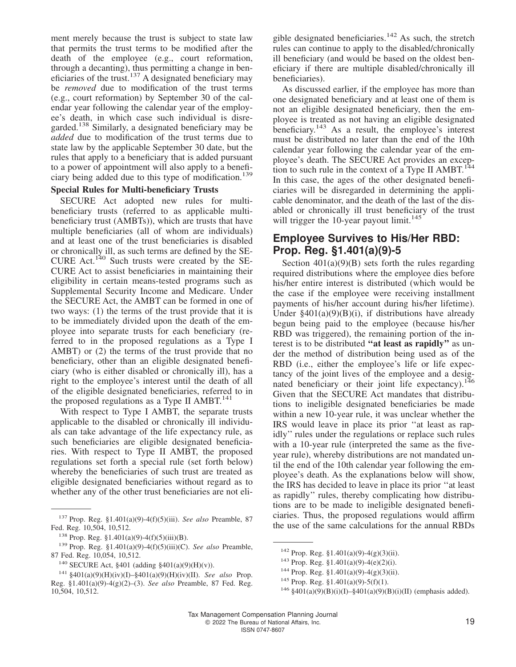ment merely because the trust is subject to state law that permits the trust terms to be modified after the death of the employee (e.g., court reformation, through a decanting), thus permitting a change in beneficiaries of the trust.<sup>137</sup> A designated beneficiary may be *removed* due to modification of the trust terms (e.g., court reformation) by September 30 of the calendar year following the calendar year of the employee's death, in which case such individual is disregarded.<sup>138</sup> Similarly, a designated beneficiary may be *added* due to modification of the trust terms due to state law by the applicable September 30 date, but the rules that apply to a beneficiary that is added pursuant to a power of appointment will also apply to a beneficiary being added due to this type of modification.<sup>139</sup>

#### **Special Rules for Multi-beneficiary Trusts**

SECURE Act adopted new rules for multibeneficiary trusts (referred to as applicable multibeneficiary trust (AMBTs)), which are trusts that have multiple beneficiaries (all of whom are individuals) and at least one of the trust beneficiaries is disabled or chronically ill, as such terms are defined by the SE-CURE Act.<sup>140</sup> Such trusts were created by the SE-CURE Act to assist beneficiaries in maintaining their eligibility in certain means-tested programs such as Supplemental Security Income and Medicare. Under the SECURE Act, the AMBT can be formed in one of two ways: (1) the terms of the trust provide that it is to be immediately divided upon the death of the employee into separate trusts for each beneficiary (referred to in the proposed regulations as a Type I AMBT) or (2) the terms of the trust provide that no beneficiary, other than an eligible designated beneficiary (who is either disabled or chronically ill), has a right to the employee's interest until the death of all of the eligible designated beneficiaries, referred to in the proposed regulations as a Type II AMBT. $^{141}$ 

With respect to Type I AMBT, the separate trusts applicable to the disabled or chronically ill individuals can take advantage of the life expectancy rule, as such beneficiaries are eligible designated beneficiaries. With respect to Type II AMBT, the proposed regulations set forth a special rule (set forth below) whereby the beneficiaries of such trust are treated as eligible designated beneficiaries without regard as to whether any of the other trust beneficiaries are not eli-

gible designated beneficiaries.<sup>142</sup> As such, the stretch rules can continue to apply to the disabled/chronically ill beneficiary (and would be based on the oldest beneficiary if there are multiple disabled/chronically ill beneficiaries).

As discussed earlier, if the employee has more than one designated beneficiary and at least one of them is not an eligible designated beneficiary, then the employee is treated as not having an eligible designated beneficiary.<sup>143</sup> As a result, the employee's interest must be distributed no later than the end of the 10th calendar year following the calendar year of the employee's death. The SECURE Act provides an exception to such rule in the context of a Type II  $AMBT$ <sup>1</sup> In this case, the ages of the other designated beneficiaries will be disregarded in determining the applicable denominator, and the death of the last of the disabled or chronically ill trust beneficiary of the trust will trigger the 10-year payout limit.<sup>145</sup>

#### **Employee Survives to His/Her RBD: Prop. Reg. §1.401(a)(9)-5**

Section  $401(a)(9)(B)$  sets forth the rules regarding required distributions where the employee dies before his/her entire interest is distributed (which would be the case if the employee were receiving installment payments of his/her account during his/her lifetime). Under  $\frac{1}{2}401(a)(9)(B)(i)$ , if distributions have already begun being paid to the employee (because his/her RBD was triggered), the remaining portion of the interest is to be distributed **''at least as rapidly''** as under the method of distribution being used as of the RBD (i.e., either the employee's life or life expectancy of the joint lives of the employee and a designated beneficiary or their joint life expectancy).<sup>146</sup> Given that the SECURE Act mandates that distributions to ineligible designated beneficiaries be made within a new 10-year rule, it was unclear whether the IRS would leave in place its prior ''at least as rapidly'' rules under the regulations or replace such rules with a 10-year rule (interpreted the same as the fiveyear rule), whereby distributions are not mandated until the end of the 10th calendar year following the employee's death. As the explanations below will show, the IRS has decided to leave in place its prior ''at least as rapidly'' rules, thereby complicating how distributions are to be made to ineligible designated beneficiaries. Thus, the proposed regulations would affirm the use of the same calculations for the annual RBDs

<sup>137</sup> Prop. Reg. §1.401(a)(9)-4(f)(5)(iii). *See also* Preamble, 87 Fed. Reg. 10,504, 10,512.

<sup>138</sup> Prop. Reg. §1.401(a)(9)-4(f)(5)(iii)(B).

<sup>139</sup> Prop. Reg. §1.401(a)(9)-4(f)(5)(iii)(C). *See also* Preamble, 87 Fed. Reg. 10,054, 10,512.

<sup>140</sup> SECURE Act, §401 (adding §401(a)(9)(H)(v)).

<sup>141</sup> §401(a)(9)(H)(iv)(I)–§401(a)(9)(H)(iv)(II). *See also* Prop. Reg. §1.401(a)(9)-4(g)(2)–(3). *See also* Preamble, 87 Fed. Reg. 10,504, 10,512.

<sup>&</sup>lt;sup>142</sup> Prop. Reg. §1.401(a)(9)-4(g)(3)(ii).

<sup>143</sup> Prop. Reg. §1.401(a)(9)-4(e)(2)(i).

<sup>&</sup>lt;sup>144</sup> Prop. Reg. §1.401(a)(9)-4(g)(3)(ii).

 $145$  Prop. Reg. §1.401(a)(9)-5(f)(1).

<sup>&</sup>lt;sup>146</sup> §401(a)(9)(B)(i)(I)–§401(a)(9)(B)(i)(II) (emphasis added).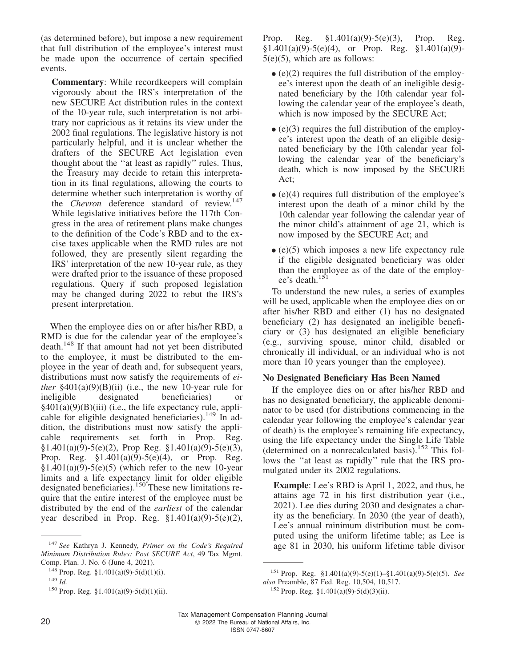(as determined before), but impose a new requirement that full distribution of the employee's interest must be made upon the occurrence of certain specified events.

**Commentary**: While recordkeepers will complain vigorously about the IRS's interpretation of the new SECURE Act distribution rules in the context of the 10-year rule, such interpretation is not arbitrary nor capricious as it retains its view under the 2002 final regulations. The legislative history is not particularly helpful, and it is unclear whether the drafters of the SECURE Act legislation even thought about the ''at least as rapidly'' rules. Thus, the Treasury may decide to retain this interpretation in its final regulations, allowing the courts to determine whether such interpretation is worthy of the *Chevron* deference standard of review.<sup>147</sup> While legislative initiatives before the 117th Congress in the area of retirement plans make changes to the definition of the Code's RBD and to the excise taxes applicable when the RMD rules are not followed, they are presently silent regarding the IRS' interpretation of the new 10-year rule, as they were drafted prior to the issuance of these proposed regulations. Query if such proposed legislation may be changed during 2022 to rebut the IRS's present interpretation.

When the employee dies on or after his/her RBD, a RMD is due for the calendar year of the employee's death.<sup>148</sup> If that amount had not yet been distributed to the employee, it must be distributed to the employee in the year of death and, for subsequent years, distributions must now satisfy the requirements of *either* §401(a)(9)(B)(ii) (i.e., the new 10-year rule for ineligible designated beneficiaries) or designated beneficiaries) or  $§401(a)(9)(B)(iii)$  (i.e., the life expectancy rule, applicable for eligible designated beneficiaries).<sup>149</sup> In addition, the distributions must now satisfy the applicable requirements set forth in Prop. Reg. §1.401(a)(9)-5(e)(2), Prop Reg. §1.401(a)(9)-5(e)(3), Prop. Reg.  $$1.401(a)(9)-5(e)(4)$ , or Prop. Reg.  $$1.401(a)(9)-5(e)(5)$  (which refer to the new 10-year limits and a life expectancy limit for older eligible designated beneficiaries).<sup>150</sup> These new limitations require that the entire interest of the employee must be distributed by the end of the *earliest* of the calendar year described in Prop. Reg.  $$1.401(a)(9)-5(e)(2)$ , Prop. Reg. §1.401(a)(9)-5(e)(3), Prop. Reg.  $§1.401(a)(9)-5(e)(4)$ , or Prop. Reg.  $§1.401(a)(9)$ - $5(e)(5)$ , which are as follows:

- $\bullet$  (e)(2) requires the full distribution of the employee's interest upon the death of an ineligible designated beneficiary by the 10th calendar year following the calendar year of the employee's death, which is now imposed by the SECURE Act;
- $\bullet$  (e)(3) requires the full distribution of the employ-<br>
see interest were the deep of an eligible design ee's interest upon the death of an eligible designated beneficiary by the 10th calendar year following the calendar year of the beneficiary's death, which is now imposed by the SECURE Act;
- (e)(4) requires full distribution of the employee's interest upon the death of a minor child by the 10th calendar year following the calendar year of the minor child's attainment of age 21, which is now imposed by the SECURE Act; and
- (e)(5) which imposes a new life expectancy rule if the eligible designated beneficiary was older than the employee as of the date of the employee's death.<sup>151</sup>

To understand the new rules, a series of examples will be used, applicable when the employee dies on or after his/her RBD and either (1) has no designated beneficiary (2) has designated an ineligible beneficiary or (3) has designated an eligible beneficiary (e.g., surviving spouse, minor child, disabled or chronically ill individual, or an individual who is not more than 10 years younger than the employee).

#### **No Designated Beneficiary Has Been Named**

If the employee dies on or after his/her RBD and has no designated beneficiary, the applicable denominator to be used (for distributions commencing in the calendar year following the employee's calendar year of death) is the employee's remaining life expectancy, using the life expectancy under the Single Life Table (determined on a nonrecalculated basis).<sup>152</sup> This follows the ''at least as rapidly'' rule that the IRS promulgated under its 2002 regulations.

**Example**: Lee's RBD is April 1, 2022, and thus, he attains age 72 in his first distribution year (i.e., 2021). Lee dies during 2030 and designates a charity as the beneficiary. In 2030 (the year of death), Lee's annual minimum distribution must be computed using the uniform lifetime table; as Lee is

<sup>&</sup>lt;sup>147</sup> See Kathryn J. Kennedy, Primer on the Code's Required age 81 in 2030, his uniform lifetime table divisor *Minimum Distribution Rules: Post SECURE Act*, 49 Tax Mgmt. Comp. Plan. J. No. 6 (June 4, 2021).

<sup>148</sup> Prop. Reg. §1.401(a)(9)-5(d)(1)(i).

<sup>149</sup> *Id.*

<sup>150</sup> Prop. Reg. §1.401(a)(9)-5(d)(1)(ii).

<sup>151</sup> Prop. Reg. §1.401(a)(9)-5(e)(1)–§1.401(a)(9)-5(e)(5). *See also* Preamble, 87 Fed. Reg. 10,504, 10,517.

 $152$  Prop. Reg. §1.401(a)(9)-5(d)(3)(ii).

Tax Management Compensation Planning Journal 20 2022 The Bureau of National Affairs, Inc. ISSN 0747-8607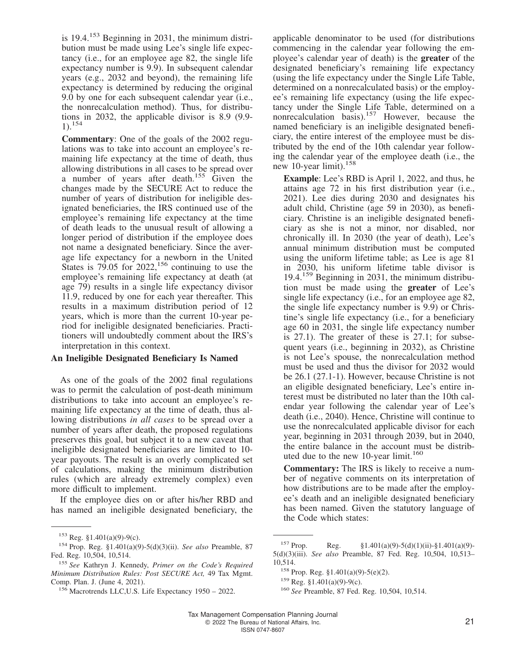is  $19.4$ <sup>153</sup> Beginning in 2031, the minimum distribution must be made using Lee's single life expectancy (i.e., for an employee age 82, the single life expectancy number is 9.9). In subsequent calendar years (e.g., 2032 and beyond), the remaining life expectancy is determined by reducing the original 9.0 by one for each subsequent calendar year (i.e., the nonrecalculation method). Thus, for distributions in 2032, the applicable divisor is 8.9 (9.9-  $1)$ .<sup>154</sup>

**Commentary**: One of the goals of the 2002 regulations was to take into account an employee's remaining life expectancy at the time of death, thus allowing distributions in all cases to be spread over a number of years after death.<sup>155</sup> Given the changes made by the SECURE Act to reduce the number of years of distribution for ineligible designated beneficiaries, the IRS continued use of the employee's remaining life expectancy at the time of death leads to the unusual result of allowing a longer period of distribution if the employee does not name a designated beneficiary. Since the average life expectancy for a newborn in the United States is  $79.05$  for  $2022$ ,  $156$  continuing to use the employee's remaining life expectancy at death (at age 79) results in a single life expectancy divisor 11.9, reduced by one for each year thereafter. This results in a maximum distribution period of 12 years, which is more than the current 10-year period for ineligible designated beneficiaries. Practitioners will undoubtedly comment about the IRS's interpretation in this context.

#### **An Ineligible Designated Beneficiary Is Named**

As one of the goals of the 2002 final regulations was to permit the calculation of post-death minimum distributions to take into account an employee's remaining life expectancy at the time of death, thus allowing distributions *in all cases* to be spread over a number of years after death, the proposed regulations preserves this goal, but subject it to a new caveat that ineligible designated beneficiaries are limited to 10 year payouts. The result is an overly complicated set of calculations, making the minimum distribution rules (which are already extremely complex) even more difficult to implement.

If the employee dies on or after his/her RBD and has named an ineligible designated beneficiary, the

applicable denominator to be used (for distributions commencing in the calendar year following the employee's calendar year of death) is the **greater** of the designated beneficiary's remaining life expectancy (using the life expectancy under the Single Life Table, determined on a nonrecalculated basis) or the employee's remaining life expectancy (using the life expectancy under the Single Life Table, determined on a nonrecalculation basis).<sup>157</sup> However, because the named beneficiary is an ineligible designated beneficiary, the entire interest of the employee must be distributed by the end of the 10th calendar year following the calendar year of the employee death (i.e., the new 10-year limit).<sup>158</sup>

**Example**: Lee's RBD is April 1, 2022, and thus, he attains age 72 in his first distribution year (i.e., 2021). Lee dies during 2030 and designates his adult child, Christine (age 59 in 2030), as beneficiary. Christine is an ineligible designated beneficiary as she is not a minor, nor disabled, nor chronically ill. In 2030 (the year of death), Lee's annual minimum distribution must be computed using the uniform lifetime table; as Lee is age 81 in 2030, his uniform lifetime table divisor is 19.4.<sup>159</sup> Beginning in 2031, the minimum distribution must be made using the **greater** of Lee's single life expectancy (i.e., for an employee age 82, the single life expectancy number is 9.9) or Christine's single life expectancy (i.e., for a beneficiary age 60 in 2031, the single life expectancy number is 27.1). The greater of these is 27.1; for subsequent years (i.e., beginning in 2032), as Christine is not Lee's spouse, the nonrecalculation method must be used and thus the divisor for 2032 would be 26.1 (27.1-1). However, because Christine is not an eligible designated beneficiary, Lee's entire interest must be distributed no later than the 10th calendar year following the calendar year of Lee's death (i.e., 2040). Hence, Christine will continue to use the nonrecalculated applicable divisor for each year, beginning in 2031 through 2039, but in 2040, the entire balance in the account must be distributed due to the new 10-year limit.<sup>160</sup>

**Commentary:** The IRS is likely to receive a number of negative comments on its interpretation of how distributions are to be made after the employee's death and an ineligible designated beneficiary has been named. Given the statutory language of the Code which states:

<sup>153</sup> Reg. §1.401(a)(9)-9(c).

<sup>154</sup> Prop. Reg. §1.401(a)(9)-5(d)(3)(ii). *See also* Preamble, 87 Fed. Reg. 10,504, 10,514.

<sup>155</sup> *See* Kathryn J. Kennedy, *Primer on the Code's Required Minimum Distribution Rules: Post SECURE Act,* 49 Tax Mgmt. Comp. Plan. J. (June 4, 2021).

<sup>156</sup> Macrotrends LLC[,U.S. Life Expectancy 1950 – 2022.](https://www.macrotrends.net/countries/USA/united-states/life-expectancy)

<sup>&</sup>lt;sup>157</sup> Prop. Reg.  $\S 1.401(a)(9) - 5(d)(1)(ii) - \S 1.401(a)(9) -$ 5(d)(3)(iii). *See also* Preamble, 87 Fed. Reg. 10,504, 10,513– 10,514.

<sup>158</sup> Prop. Reg. §1.401(a)(9)-5(e)(2).

 $159$  Reg. §1.401(a)(9)-9(c).

<sup>160</sup> *See* Preamble, 87 Fed. Reg. 10,504, 10,514.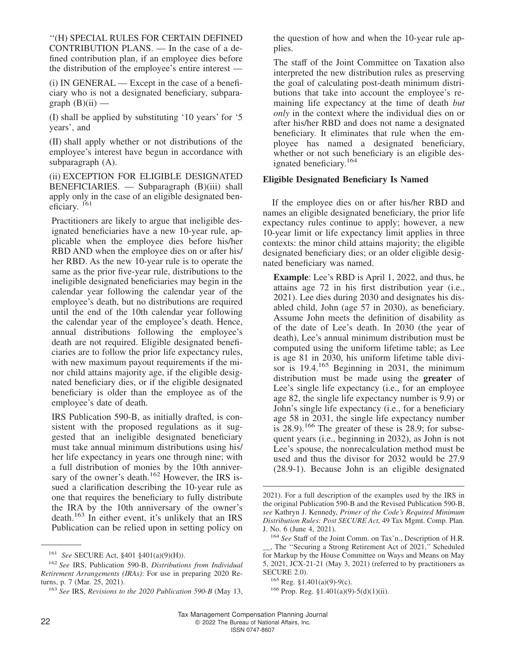''(H) SPECIAL RULES FOR CERTAIN DEFINED CONTRIBUTION PLANS. — In the case of a defined contribution plan, if an employee dies before the distribution of the employee's entire interest —

(i) IN GENERAL — Except in the case of a beneficiary who is not a designated beneficiary, subparagraph  $(B)(ii)$  —

(I) shall be applied by substituting '10 years' for '5 years', and

(II) shall apply whether or not distributions of the employee's interest have begun in accordance with subparagraph (A).

(ii) EXCEPTION FOR ELIGIBLE DESIGNATED BENEFICIARIES. — Subparagraph (B)(iii) shall apply only in the case of an eligible designated beneficiary. <sup>161</sup>

Practitioners are likely to argue that ineligible designated beneficiaries have a new 10-year rule, applicable when the employee dies before his/her RBD AND when the employee dies on or after his/ her RBD. As the new 10-year rule is to operate the same as the prior five-year rule, distributions to the ineligible designated beneficiaries may begin in the calendar year following the calendar year of the employee's death, but no distributions are required until the end of the 10th calendar year following the calendar year of the employee's death. Hence, annual distributions following the employee's death are not required. Eligible designated beneficiaries are to follow the prior life expectancy rules, with new maximum payout requirements if the minor child attains majority age, if the eligible designated beneficiary dies, or if the eligible designated beneficiary is older than the employee as of the employee's date of death.

IRS Publication 590-B, as initially drafted, is consistent with the proposed regulations as it suggested that an ineligible designated beneficiary must take annual minimum distributions using his/ her life expectancy in years one through nine; with a full distribution of monies by the 10th anniversary of the owner's death.<sup>162</sup> However, the IRS issued a clarification describing the 10-year rule as one that requires the beneficiary to fully distribute the IRA by the 10th anniversary of the owner's death.<sup>163</sup> In either event, it's unlikely that an IRS Publication can be relied upon in setting policy on

the question of how and when the 10-year rule applies.

The staff of the Joint Committee on Taxation also interpreted the new distribution rules as preserving the goal of calculating post-death minimum distributions that take into account the employee's remaining life expectancy at the time of death *but only* in the context where the individual dies on or after his/her RBD and does not name a designated beneficiary. It eliminates that rule when the employee has named a designated beneficiary, whether or not such beneficiary is an eligible designated beneficiary.<sup>164</sup>

#### **Eligible Designated Beneficiary Is Named**

If the employee dies on or after his/her RBD and names an eligible designated beneficiary, the prior life expectancy rules continue to apply; however, a new 10-year limit or life expectancy limit applies in three contexts: the minor child attains majority; the eligible designated beneficiary dies; or an older eligible designated beneficiary was named.

**Example**: Lee's RBD is April 1, 2022, and thus, he attains age 72 in his first distribution year (i.e., 2021). Lee dies during 2030 and designates his disabled child, John (age 57 in 2030), as beneficiary. Assume John meets the definition of disability as of the date of Lee's death. In 2030 (the year of death), Lee's annual minimum distribution must be computed using the uniform lifetime table; as Lee is age 81 in 2030, his uniform lifetime table divisor is  $19.4^{165}$  Beginning in 2031, the minimum distribution must be made using the **greater** of Lee's single life expectancy (i.e., for an employee age 82, the single life expectancy number is 9.9) or John's single life expectancy (i.e., for a beneficiary age 58 in 2031, the single life expectancy number is 28.9).<sup>166</sup> The greater of these is 28.9; for subsequent years (i.e., beginning in 2032), as John is not Lee's spouse, the nonrecalculation method must be used and thus the divisor for 2032 would be 27.9 (28.9-1). Because John is an eligible designated

<sup>161</sup> *See* SECURE Act, §401 §401(a)(9)(H)).

<sup>162</sup> *See* IRS, Publication 590-B, *Distributions from Individual Retirement Arrangements (IRAs)*: For use in preparing 2020 Returns, p. 7 (Mar. 25, 2021).

<sup>163</sup> *See* IRS, *Revisions to the 2020 Publication 590-B* (May 13,

<sup>2021).</sup> For a full description of the examples used by the IRS in the original Publication 590-B and the Revised Publication 590-B, *see* Kathryn J. Kennedy, *Primer of the Code's Required Minimum Distribution Rules: Post SECURE Act,* 49 Tax Mgmt. Comp. Plan. J. No. 6 (June 4, 2021).

<sup>164</sup> *See* Staff of the Joint Comm. on Tax'n., [Description of H.R.](https://aboutbtax.com/2Sd) [\\_\\_, The ''Securing a Strong Retirement Act of 2021,'' Scheduled](https://aboutbtax.com/2Sd) [for Markup by the House Committee on Ways and Means on May](https://aboutbtax.com/2Sd) [5, 2021,](https://aboutbtax.com/2Sd) JCX-21-21 (May 3, 2021) (referred to by practitioners as SECURE 2.0).

 $165$  Reg. §1.401(a)(9)-9(c).

 $166$  Prop. Reg. §1.401(a)(9)-5(d)(1)(ii).

Tax Management Compensation Planning Journal 22 R 2022 The Bureau of National Affairs, Inc.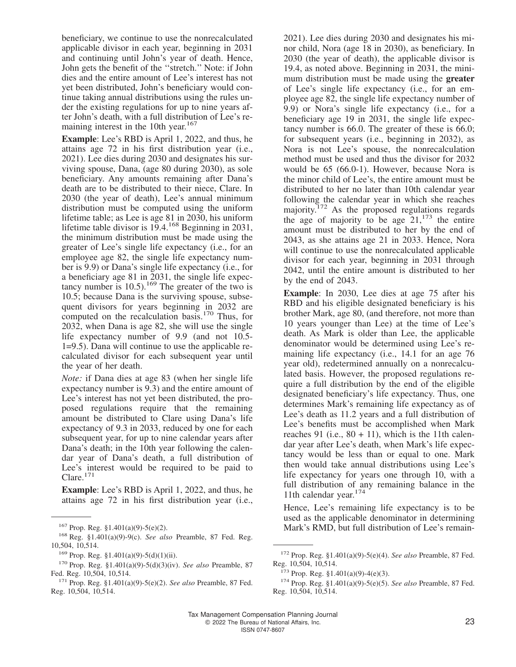beneficiary, we continue to use the nonrecalculated applicable divisor in each year, beginning in 2031 and continuing until John's year of death. Hence, John gets the benefit of the ''stretch.'' Note: if John dies and the entire amount of Lee's interest has not yet been distributed, John's beneficiary would continue taking annual distributions using the rules under the existing regulations for up to nine years after John's death, with a full distribution of Lee's remaining interest in the 10th year.<sup>167</sup>

**Example**: Lee's RBD is April 1, 2022, and thus, he attains age 72 in his first distribution year (i.e., 2021). Lee dies during 2030 and designates his surviving spouse, Dana, (age 80 during 2030), as sole beneficiary. Any amounts remaining after Dana's death are to be distributed to their niece, Clare. In 2030 (the year of death), Lee's annual minimum distribution must be computed using the uniform lifetime table; as Lee is age 81 in 2030, his uniform lifetime table divisor is 19.4.<sup>168</sup> Beginning in 2031, the minimum distribution must be made using the greater of Lee's single life expectancy (i.e., for an employee age 82, the single life expectancy number is 9.9) or Dana's single life expectancy (i.e., for a beneficiary age 81 in 2031, the single life expectancy number is 10.5).<sup>169</sup> The greater of the two is 10.5; because Dana is the surviving spouse, subsequent divisors for years beginning in 2032 are computed on the recalculation basis.<sup>170</sup> Thus, for 2032, when Dana is age 82, she will use the single life expectancy number of 9.9 (and not 10.5- 1=9.5). Dana will continue to use the applicable recalculated divisor for each subsequent year until the year of her death.

*Note:* if Dana dies at age 83 (when her single life expectancy number is 9.3) and the entire amount of Lee's interest has not yet been distributed, the proposed regulations require that the remaining amount be distributed to Clare using Dana's life expectancy of 9.3 in 2033, reduced by one for each subsequent year, for up to nine calendar years after Dana's death; in the 10th year following the calendar year of Dana's death, a full distribution of Lee's interest would be required to be paid to Clare.<sup>171</sup>

**Example**: Lee's RBD is April 1, 2022, and thus, he attains age 72 in his first distribution year (i.e.,

2021). Lee dies during 2030 and designates his minor child, Nora (age 18 in 2030), as beneficiary. In 2030 (the year of death), the applicable divisor is 19.4, as noted above. Beginning in 2031, the minimum distribution must be made using the **greater** of Lee's single life expectancy (i.e., for an employee age 82, the single life expectancy number of 9.9) or Nora's single life expectancy (i.e., for a beneficiary age 19 in 2031, the single life expectancy number is 66.0. The greater of these is 66.0; for subsequent years (i.e., beginning in 2032), as Nora is not Lee's spouse, the nonrecalculation method must be used and thus the divisor for 2032 would be 65 (66.0-1). However, because Nora is the minor child of Lee's, the entire amount must be distributed to her no later than 10th calendar year following the calendar year in which she reaches majority.<sup>172</sup> As the proposed regulations regards the age of majority to be age  $21$ ,  $173$  the entire amount must be distributed to her by the end of 2043, as she attains age 21 in 2033. Hence, Nora will continue to use the nonrecalculated applicable divisor for each year, beginning in 2031 through 2042, until the entire amount is distributed to her by the end of 2043.

**Example**: In 2030, Lee dies at age 75 after his RBD and his eligible designated beneficiary is his brother Mark, age 80, (and therefore, not more than 10 years younger than Lee) at the time of Lee's death. As Mark is older than Lee, the applicable denominator would be determined using Lee's remaining life expectancy (i.e., 14.1 for an age 76 year old), redetermined annually on a nonrecalculated basis. However, the proposed regulations require a full distribution by the end of the eligible designated beneficiary's life expectancy. Thus, one determines Mark's remaining life expectancy as of Lee's death as 11.2 years and a full distribution of Lee's benefits must be accomplished when Mark reaches 91 (i.e.,  $80 + 11$ ), which is the 11th calendar year after Lee's death, when Mark's life expectancy would be less than or equal to one. Mark then would take annual distributions using Lee's life expectancy for years one through 10, with a full distribution of any remaining balance in the 11th calendar year.<sup>174</sup>

Hence, Lee's remaining life expectancy is to be used as the applicable denominator in determining <sup>167</sup> Prop. Reg. §1.401(a)(9)-5(e)(2). Mark's RMD, but full distribution of Lee's remain-

<sup>168</sup> Reg. §1.401(a)(9)-9(c). *See also* Preamble, 87 Fed. Reg. 10,504, 10,514.

 $169$  Prop. Reg. §1.401(a)(9)-5(d)(1)(ii).

<sup>170</sup> Prop. Reg. §1.401(a)(9)-5(d)(3)(iv). *See also* Preamble, 87 Fed. Reg. 10,504, 10,514.

<sup>171</sup> Prop. Reg. §1.401(a)(9)-5(e)(2). *See also* Preamble, 87 Fed. Reg. 10,504, 10,514.

<sup>172</sup> Prop. Reg. §1.401(a)(9)-5(e)(4). *See also* Preamble, 87 Fed. Reg. 10,504, 10,514.

 $173$  Prop. Reg. §1.401(a)(9)-4(e)(3).

<sup>174</sup> Prop. Reg. §1.401(a)(9)-5(e)(5). *See also* Preamble, 87 Fed. Reg. 10,504, 10,514.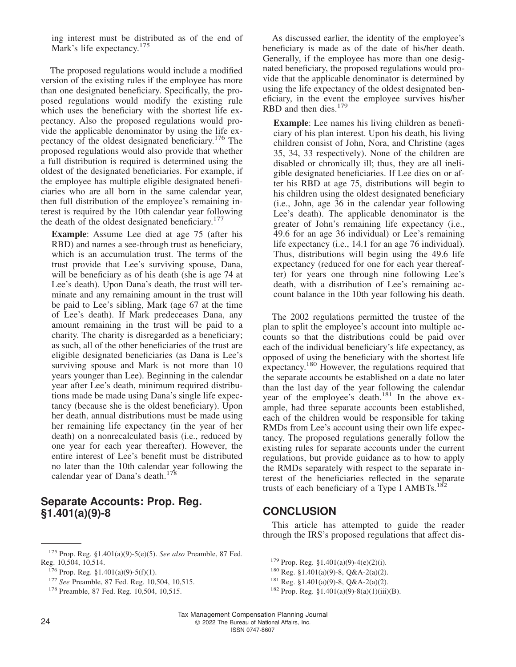ing interest must be distributed as of the end of Mark's life expectancy.<sup>175</sup>

The proposed regulations would include a modified version of the existing rules if the employee has more than one designated beneficiary. Specifically, the proposed regulations would modify the existing rule which uses the beneficiary with the shortest life expectancy. Also the proposed regulations would provide the applicable denominator by using the life expectancy of the oldest designated beneficiary.<sup>176</sup> The proposed regulations would also provide that whether a full distribution is required is determined using the oldest of the designated beneficiaries. For example, if the employee has multiple eligible designated beneficiaries who are all born in the same calendar year, then full distribution of the employee's remaining interest is required by the 10th calendar year following the death of the oldest designated beneficiary.<sup>17</sup>

**Example**: Assume Lee died at age 75 (after his RBD) and names a see-through trust as beneficiary, which is an accumulation trust. The terms of the trust provide that Lee's surviving spouse, Dana, will be beneficiary as of his death (she is age 74 at Lee's death). Upon Dana's death, the trust will terminate and any remaining amount in the trust will be paid to Lee's sibling, Mark (age 67 at the time of Lee's death). If Mark predeceases Dana, any amount remaining in the trust will be paid to a charity. The charity is disregarded as a beneficiary; as such, all of the other beneficiaries of the trust are eligible designated beneficiaries (as Dana is Lee's surviving spouse and Mark is not more than 10 years younger than Lee). Beginning in the calendar year after Lee's death, minimum required distributions made be made using Dana's single life expectancy (because she is the oldest beneficiary). Upon her death, annual distributions must be made using her remaining life expectancy (in the year of her death) on a nonrecalculated basis (i.e., reduced by one year for each year thereafter). However, the entire interest of Lee's benefit must be distributed no later than the 10th calendar year following the calendar year of Dana's death.<sup>178</sup>

#### **Separate Accounts: Prop. Reg. §1.401(a)(9)-8**

As discussed earlier, the identity of the employee's beneficiary is made as of the date of his/her death. Generally, if the employee has more than one designated beneficiary, the proposed regulations would provide that the applicable denominator is determined by using the life expectancy of the oldest designated beneficiary, in the event the employee survives his/her RBD and then dies.<sup>179</sup>

**Example**: Lee names his living children as beneficiary of his plan interest. Upon his death, his living children consist of John, Nora, and Christine (ages 35, 34, 33 respectively). None of the children are disabled or chronically ill; thus, they are all ineligible designated beneficiaries. If Lee dies on or after his RBD at age 75, distributions will begin to his children using the oldest designated beneficiary (i.e., John, age 36 in the calendar year following Lee's death). The applicable denominator is the greater of John's remaining life expectancy (i.e., 49.6 for an age 36 individual) or Lee's remaining life expectancy (i.e., 14.1 for an age 76 individual). Thus, distributions will begin using the 49.6 life expectancy (reduced for one for each year thereafter) for years one through nine following Lee's death, with a distribution of Lee's remaining account balance in the 10th year following his death.

The 2002 regulations permitted the trustee of the plan to split the employee's account into multiple accounts so that the distributions could be paid over each of the individual beneficiary's life expectancy, as opposed of using the beneficiary with the shortest life expectancy.<sup>180</sup> However, the regulations required that the separate accounts be established on a date no later than the last day of the year following the calendar year of the employee's death.<sup>181</sup> In the above example, had three separate accounts been established, each of the children would be responsible for taking RMDs from Lee's account using their own life expectancy. The proposed regulations generally follow the existing rules for separate accounts under the current regulations, but provide guidance as to how to apply the RMDs separately with respect to the separate interest of the beneficiaries reflected in the separate trusts of each beneficiary of a Type I AMBTs.<sup>182</sup>

## **CONCLUSION**

This article has attempted to guide the reader through the IRS's proposed regulations that affect dis-

<sup>175</sup> Prop. Reg. §1.401(a)(9)-5(e)(5). *See also* Preamble, 87 Fed. Reg. 10,504, 10,514.

 $176$  Prop. Reg. §1.401(a)(9)-5(f)(1).

<sup>177</sup> *See* Preamble, 87 Fed. Reg. 10,504, 10,515.

<sup>&</sup>lt;sup>178</sup> Preamble, 87 Fed. Reg. 10,504, 10,515.

 $179$  Prop. Reg. §1.401(a)(9)-4(e)(2)(i).

<sup>180</sup> Reg. §1.401(a)(9)-8, Q&A-2(a)(2).

 $181$  Reg. §1.401(a)(9)-8, Q&A-2(a)(2).

 $182$  Prop. Reg. §1.401(a)(9)-8(a)(1)(iii)(B).

Tax Management Compensation Planning Journal 24 C 2022 The Bureau of National Affairs, Inc. ISSN 0747-8607